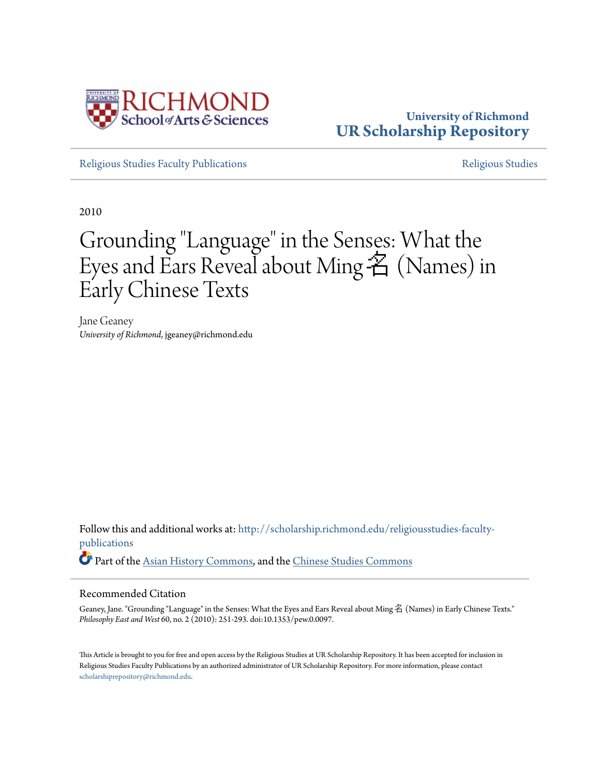

# **University of Richmond [UR Scholarship Repository](http://scholarship.richmond.edu?utm_source=scholarship.richmond.edu%2Freligiousstudies-faculty-publications%2F7&utm_medium=PDF&utm_campaign=PDFCoverPages)**

[Religious Studies Faculty Publications](http://scholarship.richmond.edu/religiousstudies-faculty-publications?utm_source=scholarship.richmond.edu%2Freligiousstudies-faculty-publications%2F7&utm_medium=PDF&utm_campaign=PDFCoverPages) **[Religious Studies](http://scholarship.richmond.edu/religiousstudies?utm_source=scholarship.richmond.edu%2Freligiousstudies-faculty-publications%2F7&utm_medium=PDF&utm_campaign=PDFCoverPages)** Religious Studies Religious Studies

2010

# Grounding "Language" in the Senses: What the Eyes and Ears Reveal about Ming 名 (Names) in Early Chinese Texts

Jane Geaney *University of Richmond*, jgeaney@richmond.edu

Follow this and additional works at: [http://scholarship.richmond.edu/religiousstudies-faculty](http://scholarship.richmond.edu/religiousstudies-faculty-publications?utm_source=scholarship.richmond.edu%2Freligiousstudies-faculty-publications%2F7&utm_medium=PDF&utm_campaign=PDFCoverPages)[publications](http://scholarship.richmond.edu/religiousstudies-faculty-publications?utm_source=scholarship.richmond.edu%2Freligiousstudies-faculty-publications%2F7&utm_medium=PDF&utm_campaign=PDFCoverPages)

Part of the [Asian History Commons](http://network.bepress.com/hgg/discipline/491?utm_source=scholarship.richmond.edu%2Freligiousstudies-faculty-publications%2F7&utm_medium=PDF&utm_campaign=PDFCoverPages), and the [Chinese Studies Commons](http://network.bepress.com/hgg/discipline/1081?utm_source=scholarship.richmond.edu%2Freligiousstudies-faculty-publications%2F7&utm_medium=PDF&utm_campaign=PDFCoverPages)

### Recommended Citation

Geaney, Jane. "Grounding "Language" in the Senses: What the Eyes and Ears Reveal about Ming 名 (Names) in Early Chinese Texts." *Philosophy East and West* 60, no. 2 (2010): 251-293. doi:10.1353/pew.0.0097.

This Article is brought to you for free and open access by the Religious Studies at UR Scholarship Repository. It has been accepted for inclusion in Religious Studies Faculty Publications by an authorized administrator of UR Scholarship Repository. For more information, please contact [scholarshiprepository@richmond.edu.](mailto:scholarshiprepository@richmond.edu)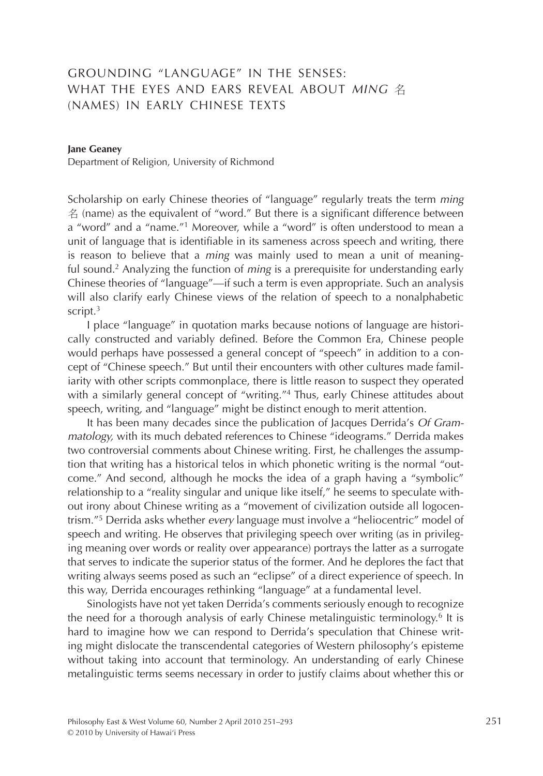# GROUNDING "LANGUAGE" IN THE SENSES: WHAT THE EYES AND EARS REVEAL ABOUT MING 名 (NAMES) IN EARLY CHINESE TEXTS

#### **Jane Geaney**

Department of Religion, University of Richmond

Scholarship on early Chinese theories of "language" regularly treats the term ming 名 (name) as the equivalent of "word." But there is a significant difference between a "word" and a "name."1 Moreover, while a "word" is often understood to mean a unit of language that is identifiable in its sameness across speech and writing, there is reason to believe that a ming was mainly used to mean a unit of meaningful sound.<sup>2</sup> Analyzing the function of *ming* is a prerequisite for understanding early Chinese theories of "language"—if such a term is even appropriate. Such an analysis will also clarify early Chinese views of the relation of speech to a nonalphabetic script.<sup>3</sup>

I place "language" in quotation marks because notions of language are historically constructed and variably defined. Before the Common Era, Chinese people would perhaps have possessed a general concept of "speech" in addition to a concept of "Chinese speech." But until their encounters with other cultures made familiarity with other scripts commonplace, there is little reason to suspect they operated with a similarly general concept of "writing."<sup>4</sup> Thus, early Chinese attitudes about speech, writing, and "language" might be distinct enough to merit attention.

It has been many decades since the publication of Jacques Derrida's Of Grammatology, with its much debated references to Chinese "ideograms." Derrida makes two controversial comments about Chinese writing. First, he challenges the assumption that writing has a historical telos in which phonetic writing is the normal "outcome." And second, although he mocks the idea of a graph having a "symbolic" relationship to a "reality singular and unique like itself," he seems to speculate without irony about Chinese writing as a "movement of civilization outside all logocentrism."5 Derrida asks whether every language must involve a "heliocentric" model of speech and writing. He observes that privileging speech over writing (as in privileging meaning over words or reality over appearance) portrays the latter as a surrogate that serves to indicate the superior status of the former. And he deplores the fact that writing always seems posed as such an "eclipse" of a direct experience of speech. In this way, Derrida encourages rethinking "language" at a fundamental level.

Sinologists have not yet taken Derrida's comments seriously enough to recognize the need for a thorough analysis of early Chinese metalinguistic terminology.<sup>6</sup> It is hard to imagine how we can respond to Derrida's speculation that Chinese writing might dislocate the transcendental categories of Western philosophy's episteme without taking into account that terminology. An understanding of early Chinese metalinguistic terms seems necessary in order to justify claims about whether this or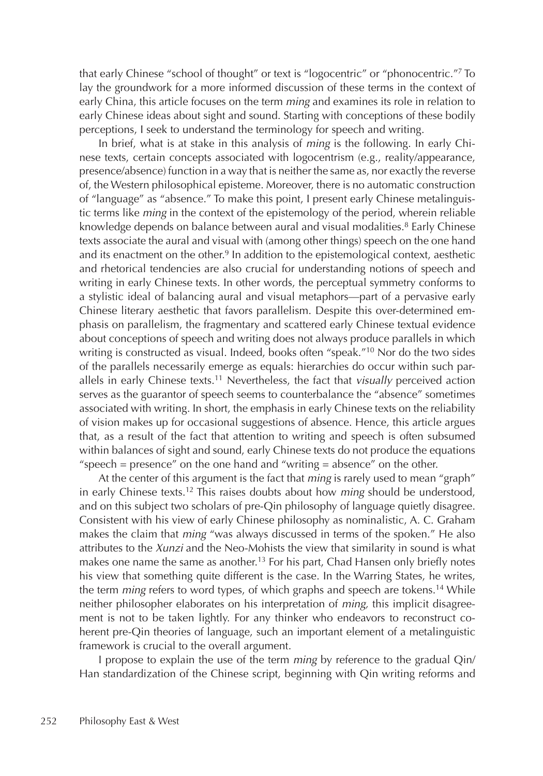that early Chinese "school of thought" or text is "logocentric" or "phonocentric."7 To lay the groundwork for a more informed discussion of these terms in the context of early China, this article focuses on the term ming and examines its role in relation to early Chinese ideas about sight and sound. Starting with conceptions of these bodily perceptions, I seek to understand the terminology for speech and writing.

In brief, what is at stake in this analysis of ming is the following. In early Chinese texts, certain concepts associated with logocentrism (e.g., reality/appearance, presence/absence) function in a way that is neither the same as, nor exactly the reverse of, the Western philosophical episteme. Moreover, there is no automatic construction of "language" as "absence." To make this point, I present early Chinese metalinguistic terms like ming in the context of the epistemology of the period, wherein reliable knowledge depends on balance between aural and visual modalities.<sup>8</sup> Early Chinese texts associate the aural and visual with (among other things) speech on the one hand and its enactment on the other.<sup>9</sup> In addition to the epistemological context, aesthetic and rhetorical tendencies are also crucial for understanding notions of speech and writing in early Chinese texts. In other words, the perceptual symmetry conforms to a stylistic ideal of balancing aural and visual metaphors—part of a pervasive early Chinese literary aesthetic that favors parallelism. Despite this over-determined emphasis on parallelism, the fragmentary and scattered early Chinese textual evidence about conceptions of speech and writing does not always produce parallels in which writing is constructed as visual. Indeed, books often "speak."10 Nor do the two sides of the parallels necessarily emerge as equals: hierarchies do occur within such parallels in early Chinese texts.<sup>11</sup> Nevertheless, the fact that *visually* perceived action serves as the guarantor of speech seems to counterbalance the "absence" sometimes associated with writing. In short, the emphasis in early Chinese texts on the reliability of vision makes up for occasional suggestions of absence. Hence, this article argues that, as a result of the fact that attention to writing and speech is often subsumed within balances of sight and sound, early Chinese texts do not produce the equations "speech = presence" on the one hand and "writing = absence" on the other.

At the center of this argument is the fact that ming is rarely used to mean "graph" in early Chinese texts.<sup>12</sup> This raises doubts about how *ming* should be understood, and on this subject two scholars of pre-Qin philosophy of language quietly disagree. Consistent with his view of early Chinese philosophy as nominalistic, A. C. Graham makes the claim that *ming* "was always discussed in terms of the spoken." He also attributes to the *Xunzi* and the Neo-Mohists the view that similarity in sound is what makes one name the same as another.<sup>13</sup> For his part, Chad Hansen only briefly notes his view that something quite different is the case. In the Warring States, he writes, the term *ming* refers to word types, of which graphs and speech are tokens.<sup>14</sup> While neither philosopher elaborates on his interpretation of *ming*, this implicit disagreement is not to be taken lightly. For any thinker who endeavors to reconstruct coherent pre-Qin theories of language, such an important element of a metalinguistic framework is crucial to the overall argument.

I propose to explain the use of the term ming by reference to the gradual Qin/ Han standardization of the Chinese script, beginning with Qin writing reforms and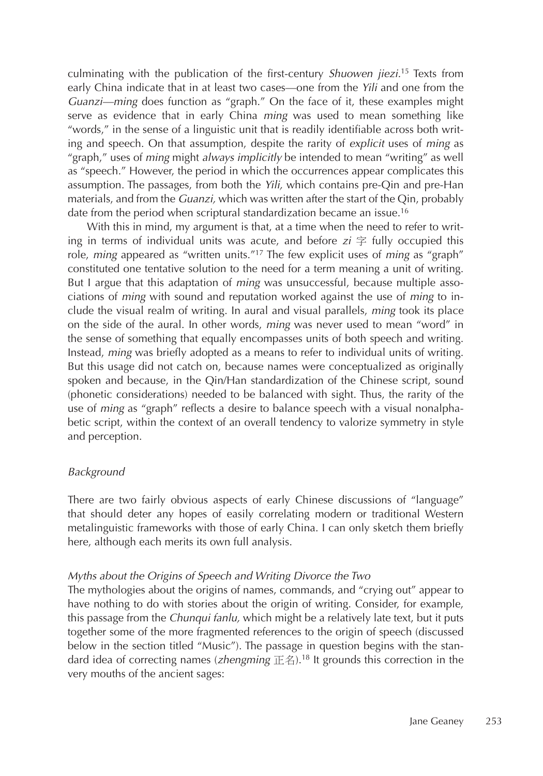culminating with the publication of the first-century Shuowen jiezi.<sup>15</sup> Texts from early China indicate that in at least two cases—one from the Yili and one from the Guanzi—ming does function as "graph." On the face of it, these examples might serve as evidence that in early China ming was used to mean something like "words," in the sense of a linguistic unit that is readily identifiable across both writing and speech. On that assumption, despite the rarity of explicit uses of ming as "graph," uses of *ming* might always implicitly be intended to mean "writing" as well as "speech." However, the period in which the occurrences appear complicates this assumption. The passages, from both the Yili, which contains pre-Qin and pre-Han materials, and from the *Guanzi*, which was written after the start of the Qin, probably date from the period when scriptural standardization became an issue.<sup>16</sup>

With this in mind, my argument is that, at a time when the need to refer to writing in terms of individual units was acute, and before  $zi \ncong$  fully occupied this role, ming appeared as "written units."<sup>17</sup> The few explicit uses of ming as "graph" constituted one tentative solution to the need for a term meaning a unit of writing. But I argue that this adaptation of *ming* was unsuccessful, because multiple associations of ming with sound and reputation worked against the use of ming to include the visual realm of writing. In aural and visual parallels, ming took its place on the side of the aural. In other words, ming was never used to mean "word" in the sense of something that equally encompasses units of both speech and writing. Instead, ming was briefly adopted as a means to refer to individual units of writing. But this usage did not catch on, because names were conceptualized as originally spoken and because, in the Qin/Han standardization of the Chinese script, sound (phonetic considerations) needed to be balanced with sight. Thus, the rarity of the use of ming as "graph" reflects a desire to balance speech with a visual nonalphabetic script, within the context of an overall tendency to valorize symmetry in style and perception.

## Background

There are two fairly obvious aspects of early Chinese discussions of "language" that should deter any hopes of easily correlating modern or traditional Western metalinguistic frameworks with those of early China. I can only sketch them briefly here, although each merits its own full analysis.

#### Myths about the Origins of Speech and Writing Divorce the Two

The mythologies about the origins of names, commands, and "crying out" appear to have nothing to do with stories about the origin of writing. Consider, for example, this passage from the Chunqui fanlu, which might be a relatively late text, but it puts together some of the more fragmented references to the origin of speech (discussed below in the section titled "Music"). The passage in question begins with the standard idea of correcting names (zhengming  $E \& 2$ ).<sup>18</sup> It grounds this correction in the very mouths of the ancient sages: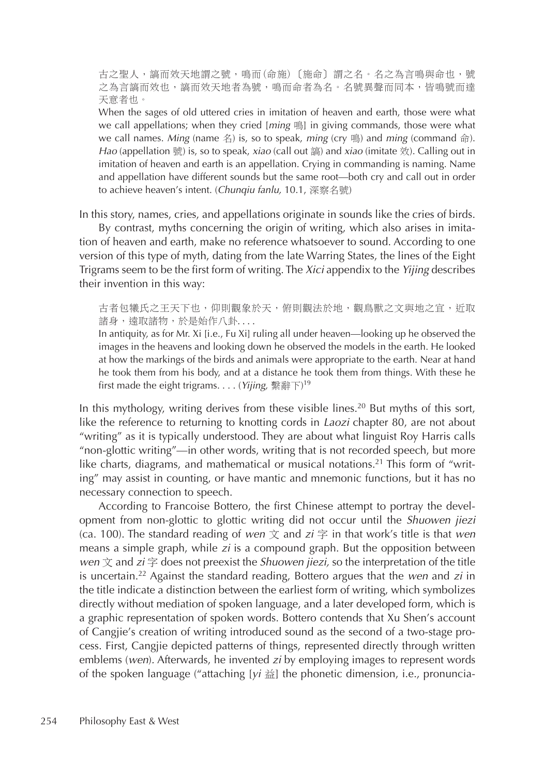古之聖人,謞而效天地謂之號,鳴而(命施)〔施命〕謂之名。名之為言鳴與命也,號 之為言謞而效也,謞而效天地者為號,鳴而命者為名。名號異聲而同本,皆鳴號而達 天意者也。

When the sages of old uttered cries in imitation of heaven and earth, those were what we call appellations; when they cried [*ming* 鳴] in giving commands, those were what we call names. Ming (name  $\hat{\mathcal{Z}}$ ) is, so to speak, ming (cry 鳴) and ming (command 命). Hao (appellation 號) is, so to speak, xiao (call out 謞) and xiao (imitate 效). Calling out in imitation of heaven and earth is an appellation. Crying in commanding is naming. Name and appellation have different sounds but the same root—both cry and call out in order to achieve heaven's intent. (Chunqiu fanlu, 10.1, 深察名號)

In this story, names, cries, and appellations originate in sounds like the cries of birds.

By contrast, myths concerning the origin of writing, which also arises in imitation of heaven and earth, make no reference whatsoever to sound. According to one version of this type of myth, dating from the late Warring States, the lines of the Eight Trigrams seem to be the first form of writing. The Xici appendix to the Yijing describes their invention in this way:

古者包犧氏之王天下也,仰則觀象於天,俯則觀法於地,觀鳥獸之文與地之宜,近取 諸身,遠取諸物,於是始作八卦....

In antiquity, as for Mr. Xi [i.e., Fu Xi] ruling all under heaven—looking up he observed the images in the heavens and looking down he observed the models in the earth. He looked at how the markings of the birds and animals were appropriate to the earth. Near at hand he took them from his body, and at a distance he took them from things. With these he first made the eight trigrams. . . . (*Yijing,* 繫辭下)<sup>19</sup>

In this mythology, writing derives from these visible lines.<sup>20</sup> But myths of this sort, like the reference to returning to knotting cords in *Laozi* chapter 80, are not about "writing" as it is typically understood. They are about what linguist Roy Harris calls "non-glottic writing"—in other words, writing that is not recorded speech, but more like charts, diagrams, and mathematical or musical notations.21 This form of "writing" may assist in counting, or have mantic and mnemonic functions, but it has no necessary connection to speech.

According to Francoise Bottero, the first Chinese attempt to portray the development from non-glottic to glottic writing did not occur until the Shuowen jiezi (ca. 100). The standard reading of wen  $\overline{x}$  and  $z_i \overline{z}$  in that work's title is that wen means a simple graph, while zi is a compound graph. But the opposition between wen  $\dot{\chi}$  and zi  $\dot{\varphi}$  does not preexist the *Shuowen jiezi*, so the interpretation of the title is uncertain.<sup>22</sup> Against the standard reading, Bottero argues that the *wen* and  $zi$  in the title indicate a distinction between the earliest form of writing, which symbolizes directly without mediation of spoken language, and a later developed form, which is a graphic representation of spoken words. Bottero contends that Xu Shen's account of Cangjie's creation of writing introduced sound as the second of a two-stage process. First, Cangjie depicted patterns of things, represented directly through written emblems (wen). Afterwards, he invented zi by employing images to represent words of the spoken language ("attaching [ $yi \triangleq$ ] the phonetic dimension, i.e., pronuncia-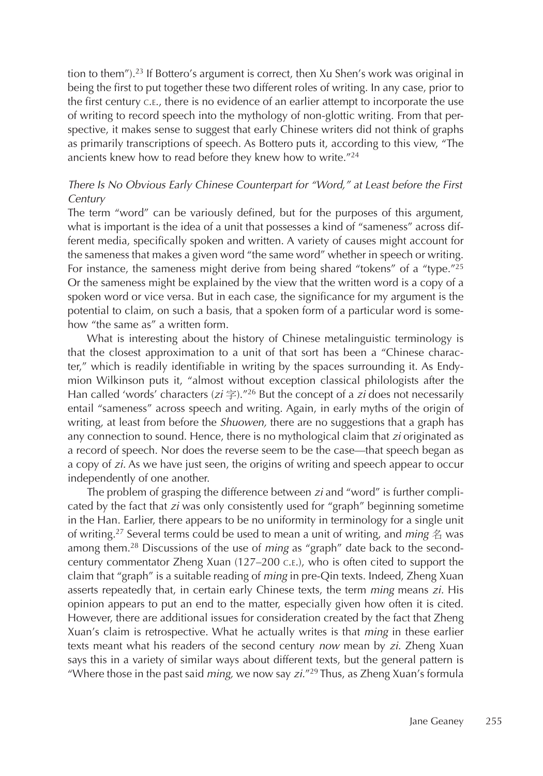tion to them").<sup>23</sup> If Bottero's argument is correct, then Xu Shen's work was original in being the first to put together these two different roles of writing. In any case, prior to the first century C.E., there is no evidence of an earlier attempt to incorporate the use of writing to record speech into the mythology of non-glottic writing. From that perspective, it makes sense to suggest that early Chinese writers did not think of graphs as primarily transcriptions of speech. As Bottero puts it, according to this view, "The ancients knew how to read before they knew how to write."24

# There Is No Obvious Early Chinese Counterpart for "Word," at Least before the First **Century**

The term "word" can be variously defined, but for the purposes of this argument, what is important is the idea of a unit that possesses a kind of "sameness" across different media, specifically spoken and written. A variety of causes might account for the sameness that makes a given word "the same word" whether in speech or writing. For instance, the sameness might derive from being shared "tokens" of a "type."25 Or the sameness might be explained by the view that the written word is a copy of a spoken word or vice versa. But in each case, the significance for my argument is the potential to claim, on such a basis, that a spoken form of a particular word is somehow "the same as" a written form.

What is interesting about the history of Chinese metalinguistic terminology is that the closest approximation to a unit of that sort has been a "Chinese character," which is readily identifiable in writing by the spaces surrounding it. As Endymion Wilkinson puts it, "almost without exception classical philologists after the Han called 'words' characters ( $zi \ncong$ )."<sup>26</sup> But the concept of a  $zi$  does not necessarily entail "sameness" across speech and writing. Again, in early myths of the origin of writing, at least from before the Shuowen, there are no suggestions that a graph has any connection to sound. Hence, there is no mythological claim that zi originated as a record of speech. Nor does the reverse seem to be the case—that speech began as a copy of zi. As we have just seen, the origins of writing and speech appear to occur independently of one another.

The problem of grasping the difference between zi and "word" is further complicated by the fact that zi was only consistently used for "graph" beginning sometime in the Han. Earlier, there appears to be no uniformity in terminology for a single unit of writing.<sup>27</sup> Several terms could be used to mean a unit of writing, and ming  $\&$  was among them.28 Discussions of the use of ming as "graph" date back to the secondcentury commentator Zheng Xuan (127–200 C.E.), who is often cited to support the claim that "graph" is a suitable reading of ming in pre-Qin texts. Indeed, Zheng Xuan asserts repeatedly that, in certain early Chinese texts, the term *ming* means *zi*. His opinion appears to put an end to the matter, especially given how often it is cited. However, there are additional issues for consideration created by the fact that Zheng Xuan's claim is retrospective. What he actually writes is that ming in these earlier texts meant what his readers of the second century now mean by zi. Zheng Xuan says this in a variety of similar ways about different texts, but the general pattern is "Where those in the past said *ming*, we now say  $zi$ ."<sup>29</sup> Thus, as Zheng Xuan's formula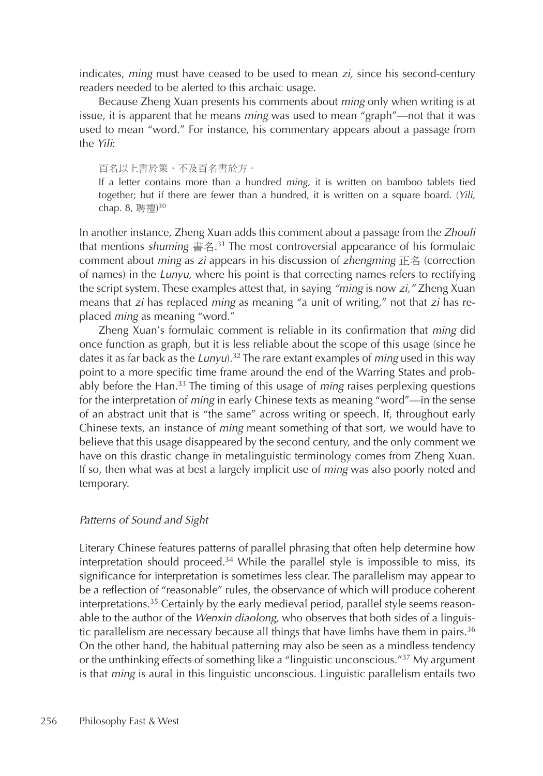indicates, ming must have ceased to be used to mean zi, since his second-century readers needed to be alerted to this archaic usage.

Because Zheng Xuan presents his comments about ming only when writing is at issue, it is apparent that he means ming was used to mean "graph"—not that it was used to mean "word." For instance, his commentary appears about a passage from the Yili:

百名以上書於策,不及百名書於方。

If a letter contains more than a hundred *ming*, it is written on bamboo tablets tied together; but if there are fewer than a hundred, it is written on a square board. (Yili, chap. 8, 聘禮)<sup>30</sup>

In another instance, Zheng Xuan adds this comment about a passage from the Zhouli that mentions *shuming* 書名.<sup>31</sup> The most controversial appearance of his formulaic comment about *ming* as zi appears in his discussion of zhengming  $E4$  (correction of names) in the Lunyu, where his point is that correcting names refers to rectifying the script system. These examples attest that, in saying "ming is now zi," Zheng Xuan means that zi has replaced ming as meaning "a unit of writing," not that zi has replaced ming as meaning "word."

Zheng Xuan's formulaic comment is reliable in its confirmation that ming did once function as graph, but it is less reliable about the scope of this usage (since he dates it as far back as the Lunyu).<sup>32</sup> The rare extant examples of *ming* used in this way point to a more specific time frame around the end of the Warring States and probably before the Han.<sup>33</sup> The timing of this usage of *ming* raises perplexing questions for the interpretation of *ming* in early Chinese texts as meaning "word"—in the sense of an abstract unit that is "the same" across writing or speech. If, throughout early Chinese texts, an instance of ming meant something of that sort, we would have to believe that this usage disappeared by the second century, and the only comment we have on this drastic change in metalinguistic terminology comes from Zheng Xuan. If so, then what was at best a largely implicit use of *ming* was also poorly noted and temporary.

# Patterns of Sound and Sight

Literary Chinese features patterns of parallel phrasing that often help determine how interpretation should proceed.<sup>34</sup> While the parallel style is impossible to miss, its significance for interpretation is sometimes less clear. The parallelism may appear to be a reflection of "reasonable" rules, the observance of which will produce coherent interpretations.35 Certainly by the early medieval period, parallel style seems reasonable to the author of the Wenxin diaolong, who observes that both sides of a linguistic parallelism are necessary because all things that have limbs have them in pairs.<sup>36</sup> On the other hand, the habitual patterning may also be seen as a mindless tendency or the unthinking effects of something like a "linguistic unconscious."<sup>37</sup> My argument is that *ming* is aural in this linguistic unconscious. Linguistic parallelism entails two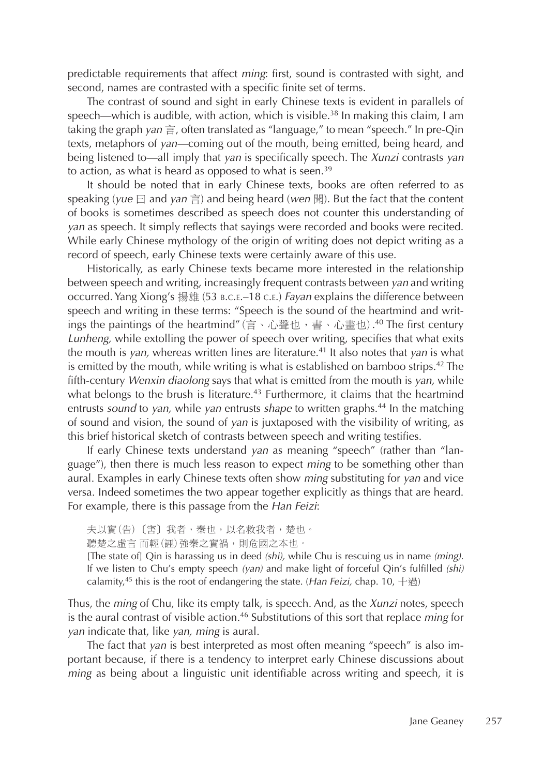predictable requirements that affect ming: first, sound is contrasted with sight, and second, names are contrasted with a specific finite set of terms.

The contrast of sound and sight in early Chinese texts is evident in parallels of speech—which is audible, with action, which is visible.<sup>38</sup> In making this claim, I am taking the graph yan 言, often translated as "language," to mean "speech." In pre-Qin texts, metaphors of yan—coming out of the mouth, being emitted, being heard, and being listened to—all imply that yan is specifically speech. The *Xunzi* contrasts yan to action, as what is heard as opposed to what is seen. $39$ 

It should be noted that in early Chinese texts, books are often referred to as speaking (yue  $\boxdot$  and yan  $\hat{\equiv}$ ) and being heard (wen  $\hat{\equiv}$ ). But the fact that the content of books is sometimes described as speech does not counter this understanding of yan as speech. It simply reflects that sayings were recorded and books were recited. While early Chinese mythology of the origin of writing does not depict writing as a record of speech, early Chinese texts were certainly aware of this use.

Historically, as early Chinese texts became more interested in the relationship between speech and writing, increasingly frequent contrasts between yan and writing occurred. Yang Xiong's 揚雄 (53 B.C.E.–18 C.E.) Fayan explains the difference between speech and writing in these terms: "Speech is the sound of the heartmind and writings the paintings of the heartmind" (言、心聲也,書、心畫也). <sup>40</sup> The first century Lunheng, while extolling the power of speech over writing, specifies that what exits the mouth is yan, whereas written lines are literature.<sup>41</sup> It also notes that yan is what is emitted by the mouth, while writing is what is established on bamboo strips.<sup>42</sup> The fifth-century Wenxin diaolong says that what is emitted from the mouth is yan, while what belongs to the brush is literature.<sup>43</sup> Furthermore, it claims that the heartmind entrusts sound to yan, while yan entrusts shape to written graphs.<sup>44</sup> In the matching of sound and vision, the sound of yan is juxtaposed with the visibility of writing, as this brief historical sketch of contrasts between speech and writing testifies.

If early Chinese texts understand yan as meaning "speech" (rather than "language"), then there is much less reason to expect *ming* to be something other than aural. Examples in early Chinese texts often show ming substituting for yan and vice versa. Indeed sometimes the two appear together explicitly as things that are heard. For example, there is this passage from the Han Feizi:

夫以實(告)〔害〕我者,秦也,以名救我者,楚也。 聽楚之虛言 而輕(誣)強秦之實禍,則危國之本也。

[The state of] Qin is harassing us in deed (shi), while Chu is rescuing us in name (ming). If we listen to Chu's empty speech (yan) and make light of forceful Qin's fulfilled (shi) calamity,<sup>45</sup> this is the root of endangering the state. (*Han Feizi*, chap. 10,  $+$ 過)

Thus, the ming of Chu, like its empty talk, is speech. And, as the *Xunzi* notes, speech is the aural contrast of visible action.<sup>46</sup> Substitutions of this sort that replace ming for yan indicate that, like yan, ming is aural.

The fact that yan is best interpreted as most often meaning "speech" is also important because, if there is a tendency to interpret early Chinese discussions about ming as being about a linguistic unit identifiable across writing and speech, it is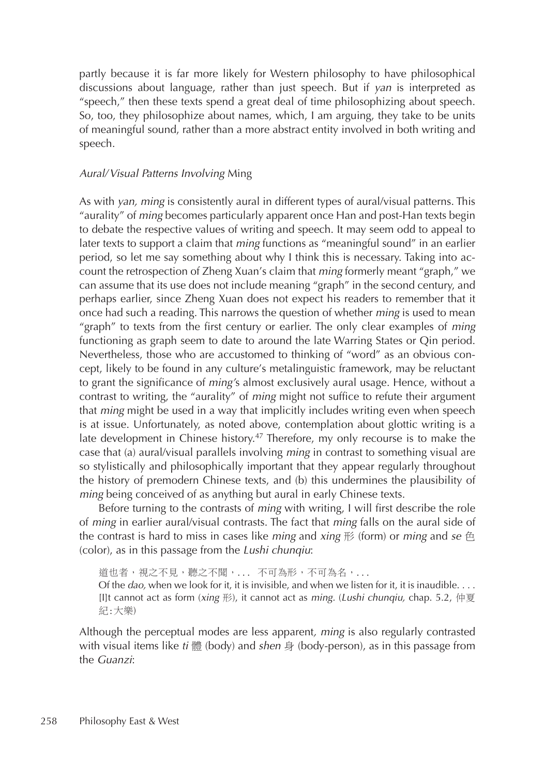partly because it is far more likely for Western philosophy to have philosophical discussions about language, rather than just speech. But if yan is interpreted as "speech," then these texts spend a great deal of time philosophizing about speech. So, too, they philosophize about names, which, I am arguing, they take to be units of meaningful sound, rather than a more abstract entity involved in both writing and speech.

# Aural/ Visual Patterns Involving Ming

As with yan, ming is consistently aural in different types of aural/visual patterns. This "aurality" of ming becomes particularly apparent once Han and post-Han texts begin to debate the respective values of writing and speech. It may seem odd to appeal to later texts to support a claim that *ming* functions as "meaningful sound" in an earlier period, so let me say something about why I think this is necessary. Taking into account the retrospection of Zheng Xuan's claim that ming formerly meant "graph," we can assume that its use does not include meaning "graph" in the second century, and perhaps earlier, since Zheng Xuan does not expect his readers to remember that it once had such a reading. This narrows the question of whether *ming* is used to mean "graph" to texts from the first century or earlier. The only clear examples of ming functioning as graph seem to date to around the late Warring States or Qin period. Nevertheless, those who are accustomed to thinking of "word" as an obvious concept, likely to be found in any culture's metalinguistic framework, may be reluctant to grant the significance of *ming's* almost exclusively aural usage. Hence, without a contrast to writing, the "aurality" of ming might not suffice to refute their argument that *ming* might be used in a way that implicitly includes writing even when speech is at issue. Unfortunately, as noted above, contemplation about glottic writing is a late development in Chinese history.<sup>47</sup> Therefore, my only recourse is to make the case that (a) aural/visual parallels involving *ming* in contrast to something visual are so stylistically and philosophically important that they appear regularly throughout the history of premodern Chinese texts, and (b) this undermines the plausibility of ming being conceived of as anything but aural in early Chinese texts.

Before turning to the contrasts of *ming* with writing, I will first describe the role of ming in earlier aural/visual contrasts. The fact that ming falls on the aural side of the contrast is hard to miss in cases like ming and xing  $E$  (form) or ming and se  $\oplus$ (color), as in this passage from the Lushi chunqiu:

道也者,視之不見,聽之不聞,... 不可為形,不可為名,...

Of the  $da$ , when we look for it, it is invisible, and when we listen for it, it is inaudible.  $\dots$ [I]t cannot act as form  $(xing \#)$ , it cannot act as ming. (Lushi chunqiu, chap. 5.2, 仲夏 紀:大樂)

Although the perceptual modes are less apparent, ming is also regularly contrasted with visual items like *ti* 體 (body) and *shen* 身 (body-person), as in this passage from the Guanzi: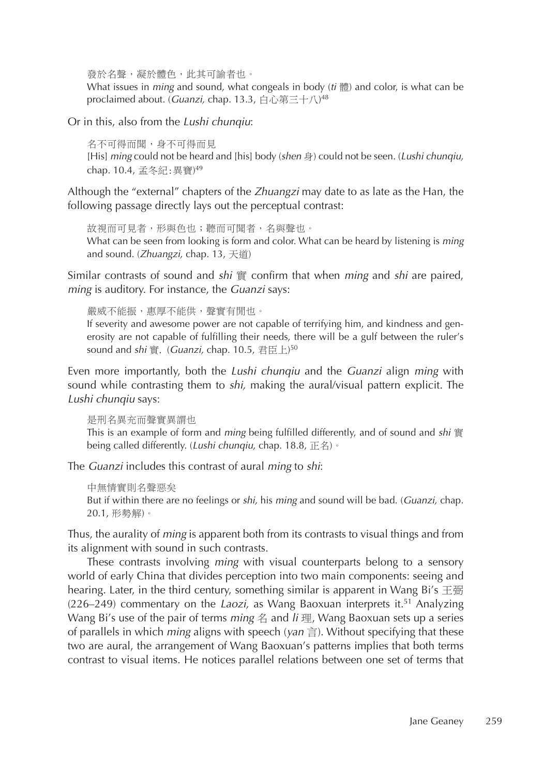發於名聲,凝於體色,此其可諭者也。 What issues in *ming* and sound, what congeals in body ( $ti \frac{1}{10}$ ) and color, is what can be proclaimed about. (*Guanzi,* chap. 13.3, 白心第三十八)<sup>48</sup>

Or in this, also from the Lushi chunqiu:

名不可得而聞,身不可得而見 [His]  $ming$  could not be heard and [his] body (shen 身) could not be seen. (Lushi chunqiu, chap. 10.4, 孟冬紀: 異寶)<sup>49</sup>

Although the "external" chapters of the Zhuangzi may date to as late as the Han, the following passage directly lays out the perceptual contrast:

故視而可見者,形與色也;聽而可聞者,名與聲也。 What can be seen from looking is form and color. What can be heard by listening is *ming* and sound. (Zhuangzi, chap. 13, 天道)

Similar contrasts of sound and *shi* 實 confirm that when *ming* and *shi* are paired, ming is auditory. For instance, the Guanzi says:

嚴威不能振,惠厚不能供,聲實有閒也。

If severity and awesome power are not capable of terrifying him, and kindness and generosity are not capable of fulfilling their needs, there will be a gulf between the ruler's sound and *shi* 實. (*Guanzi,* chap. 10.5, 君臣上) $^{50}$ 

Even more importantly, both the Lushi chungiu and the Guanzi align ming with sound while contrasting them to *shi*, making the aural/visual pattern explicit. The Lushi chunqiu says:

是刑名異充而聲實異謂也

This is an example of form and *ming* being fulfilled differently, and of sound and *shi* 實 being called differently. (Lushi chungiu, chap. 18.8, 正名)。

The *Guanzi* includes this contrast of aural *ming* to *shi*:

```
中無情實則名聲惡矣
But if within there are no feelings or shi, his ming and sound will be bad. (Guanzi, chap.
20.1, 形勢解)。
```
Thus, the aurality of ming is apparent both from its contrasts to visual things and from its alignment with sound in such contrasts.

These contrasts involving ming with visual counterparts belong to a sensory world of early China that divides perception into two main components: seeing and hearing. Later, in the third century, something similar is apparent in Wang Bi's 王弼  $(226-249)$  commentary on the *Laozi*, as Wang Baoxuan interprets it.<sup>51</sup> Analyzing Wang Bi's use of the pair of terms ming  $\&$  and li  $H$ , Wang Baoxuan sets up a series of parallels in which *ming* aligns with speech (*yan*  $\equiv$ ). Without specifying that these two are aural, the arrangement of Wang Baoxuan's patterns implies that both terms contrast to visual items. He notices parallel relations between one set of terms that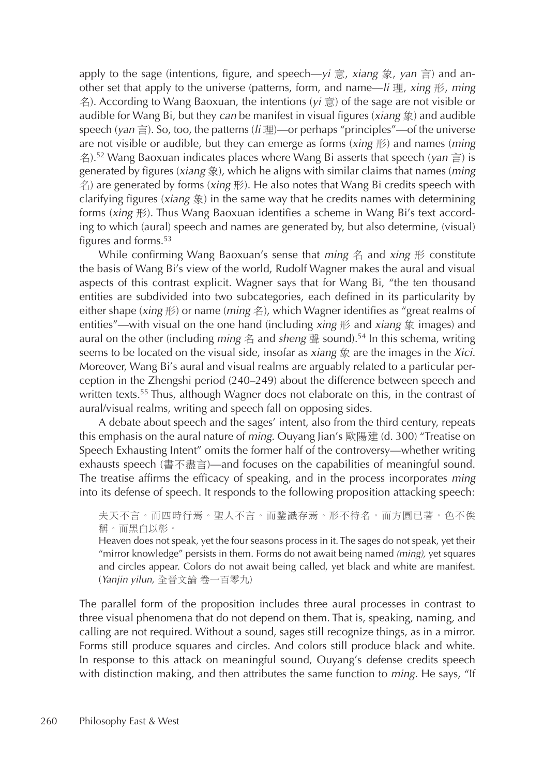apply to the sage (intentions, figure, and speech—yi 意, xiang 象, yan 言) and another set that apply to the universe (patterns, form, and name—li  $\mathbb{H}$ , xing  $\mathbb{H}$ , ming 名). According to Wang Baoxuan, the intentions ( $yi \tildotimes$ ) of the sage are not visible or audible for Wang Bi, but they can be manifest in visual figures (*xiang* 象) and audible speech (yan  $\bar{\equiv}$ ). So, too, the patterns (*li*  $\bar{\equiv}$ )—or perhaps "principles"—of the universe are not visible or audible, but they can emerge as forms (xing  $E$ ) and names (ming  $\angle 2$ ).<sup>52</sup> Wang Baoxuan indicates places where Wang Bi asserts that speech (yan  $\approx$ ) is generated by figures (xiang  $\frac{1}{2}$ ), which he aligns with similar claims that names (*ming*) 名) are generated by forms (xing 形). He also notes that Wang Bi credits speech with clarifying figures (xiang  $\frac{1}{2}$ ) in the same way that he credits names with determining forms (xing 形). Thus Wang Baoxuan identifies a scheme in Wang Bi's text according to which (aural) speech and names are generated by, but also determine, (visual) figures and forms.<sup>53</sup>

While confirming Wang Baoxuan's sense that ming  $\&$  and xing  $E$  constitute the basis of Wang Bi's view of the world, Rudolf Wagner makes the aural and visual aspects of this contrast explicit. Wagner says that for Wang Bi, "the ten thousand entities are subdivided into two subcategories, each defined in its particularity by either shape (xing  $#$ ) or name (ming  $#$ ), which Wagner identifies as "great realms of entities"—with visual on the one hand (including xing  $E$  and xiang  $\frac{1}{2}$  images) and aural on the other (including *ming 名* and *sheng* 聲 sound).<sup>54</sup> In this schema, writing seems to be located on the visual side, insofar as xiang  $\frac{1}{2}$  are the images in the Xici. Moreover, Wang Bi's aural and visual realms are arguably related to a particular perception in the Zhengshi period (240–249) about the difference between speech and written texts.<sup>55</sup> Thus, although Wagner does not elaborate on this, in the contrast of aural/visual realms, writing and speech fall on opposing sides.

A debate about speech and the sages' intent, also from the third century, repeats this emphasis on the aural nature of *ming.* Ouyang Jian's 歐陽建 (d. 300) "Treatise on Speech Exhausting Intent" omits the former half of the controversy—whether writing exhausts speech (書不盡言)—and focuses on the capabilities of meaningful sound. The treatise affirms the efficacy of speaking, and in the process incorporates ming into its defense of speech. It responds to the following proposition attacking speech:

夫天不言。而四時行焉。聖人不言。而鑒識存焉。形不待名。而方圓已著。色不俟 稱。而黑白以彰。

Heaven does not speak, yet the four seasons process in it. The sages do not speak, yet their "mirror knowledge" persists in them. Forms do not await being named (ming), yet squares and circles appear. Colors do not await being called, yet black and white are manifest. (Yanjin yilun, 全晉文論 卷一百零九)

The parallel form of the proposition includes three aural processes in contrast to three visual phenomena that do not depend on them. That is, speaking, naming, and calling are not required. Without a sound, sages still recognize things, as in a mirror. Forms still produce squares and circles. And colors still produce black and white. In response to this attack on meaningful sound, Ouyang's defense credits speech with distinction making, and then attributes the same function to *ming*. He says, "If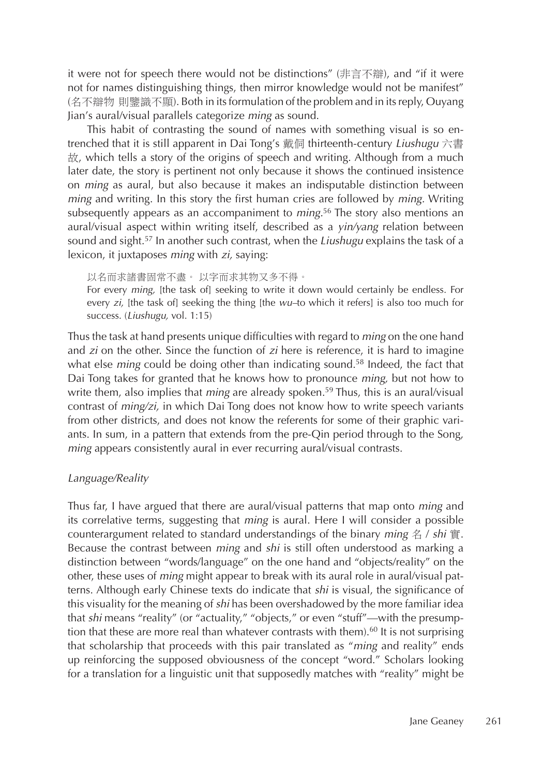it were not for speech there would not be distinctions" (非言不辯), and "if it were not for names distinguishing things, then mirror knowledge would not be manifest" (名不辯物 則鑒識不顯). Both in its formulation of the problem and in its reply, Ouyang Jian's aural/visual parallels categorize ming as sound.

This habit of contrasting the sound of names with something visual is so entrenched that it is still apparent in Dai Tong's 戴侗 thirteenth-century Liushugu 六書 故, which tells a story of the origins of speech and writing. Although from a much later date, the story is pertinent not only because it shows the continued insistence on ming as aural, but also because it makes an indisputable distinction between ming and writing. In this story the first human cries are followed by ming. Writing subsequently appears as an accompaniment to *ming*.<sup>56</sup> The story also mentions an aural/visual aspect within writing itself, described as a yin/yang relation between sound and sight.<sup>57</sup> In another such contrast, when the *Liushugu* explains the task of a lexicon, it juxtaposes ming with zi, saying:

以名而求諸書固常不盡。 以字而求其物又多不得。

For every *ming*, [the task of] seeking to write it down would certainly be endless. For every zi, [the task of] seeking the thing [the wu-to which it refers] is also too much for success. (Liushugu, vol. 1:15)

Thus the task at hand presents unique difficulties with regard to *ming* on the one hand and zi on the other. Since the function of zi here is reference, it is hard to imagine what else *ming* could be doing other than indicating sound.<sup>58</sup> Indeed, the fact that Dai Tong takes for granted that he knows how to pronounce ming, but not how to write them, also implies that *ming* are already spoken.<sup>59</sup> Thus, this is an aural/visual contrast of ming/zi, in which Dai Tong does not know how to write speech variants from other districts, and does not know the referents for some of their graphic variants. In sum, in a pattern that extends from the pre-Qin period through to the Song, ming appears consistently aural in ever recurring aural/visual contrasts.

#### Language/Reality

Thus far, I have argued that there are aural/visual patterns that map onto ming and its correlative terms, suggesting that ming is aural. Here I will consider a possible counterargument related to standard understandings of the binary ming  $\&$  / shi  $\exists$ . Because the contrast between ming and shi is still often understood as marking a distinction between "words/language" on the one hand and "objects/reality" on the other, these uses of ming might appear to break with its aural role in aural/visual patterns. Although early Chinese texts do indicate that shi is visual, the significance of this visuality for the meaning of shi has been overshadowed by the more familiar idea that shi means "reality" (or "actuality," "objects," or even "stuff"—with the presumption that these are more real than whatever contrasts with them).<sup>60</sup> It is not surprising that scholarship that proceeds with this pair translated as "ming and reality" ends up reinforcing the supposed obviousness of the concept "word." Scholars looking for a translation for a linguistic unit that supposedly matches with "reality" might be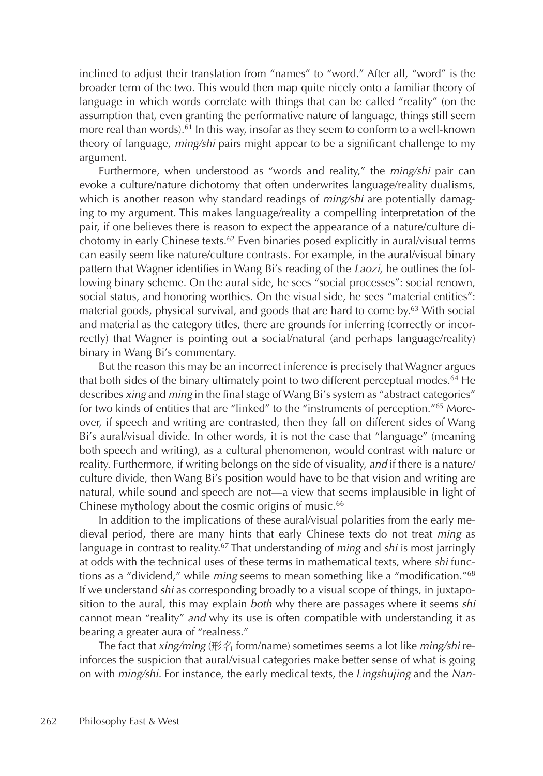inclined to adjust their translation from "names" to "word." After all, "word" is the broader term of the two. This would then map quite nicely onto a familiar theory of language in which words correlate with things that can be called "reality" (on the assumption that, even granting the performative nature of language, things still seem more real than words).<sup>61</sup> In this way, insofar as they seem to conform to a well-known theory of language, ming/shi pairs might appear to be a significant challenge to my argument.

Furthermore, when understood as "words and reality," the *ming/shi* pair can evoke a culture/nature dichotomy that often underwrites language/reality dualisms, which is another reason why standard readings of  $ming/shi$  are potentially damaging to my argument. This makes language/reality a compelling interpretation of the pair, if one believes there is reason to expect the appearance of a nature/culture dichotomy in early Chinese texts.62 Even binaries posed explicitly in aural/visual terms can easily seem like nature/culture contrasts. For example, in the aural/visual binary pattern that Wagner identifies in Wang Bi's reading of the Laozi, he outlines the following binary scheme. On the aural side, he sees "social processes": social renown, social status, and honoring worthies. On the visual side, he sees "material entities": material goods, physical survival, and goods that are hard to come by.<sup>63</sup> With social and material as the category titles, there are grounds for inferring (correctly or incorrectly) that Wagner is pointing out a social/natural (and perhaps language/reality) binary in Wang Bi's commentary.

But the reason this may be an incorrect inference is precisely that Wagner argues that both sides of the binary ultimately point to two different perceptual modes.<sup>64</sup> He describes xing and ming in the final stage of Wang Bi's system as "abstract categories" for two kinds of entities that are "linked" to the "instruments of perception."<sup>65</sup> Moreover, if speech and writing are contrasted, then they fall on different sides of Wang Bi's aural/visual divide. In other words, it is not the case that "language" (meaning both speech and writing), as a cultural phenomenon, would contrast with nature or reality. Furthermore, if writing belongs on the side of visuality, and if there is a nature/ culture divide, then Wang Bi's position would have to be that vision and writing are natural, while sound and speech are not—a view that seems implausible in light of Chinese mythology about the cosmic origins of music.<sup>66</sup>

In addition to the implications of these aural/visual polarities from the early medieval period, there are many hints that early Chinese texts do not treat ming as language in contrast to reality.<sup>67</sup> That understanding of *ming* and *shi* is most jarringly at odds with the technical uses of these terms in mathematical texts, where shi functions as a "dividend," while ming seems to mean something like a "modification."<sup>68</sup> If we understand *shi* as corresponding broadly to a visual scope of things, in juxtaposition to the aural, this may explain both why there are passages where it seems shi cannot mean "reality" and why its use is often compatible with understanding it as bearing a greater aura of "realness."

The fact that xing/ming ( $#$   $4$  form/name) sometimes seems a lot like ming/shi reinforces the suspicion that aural/visual categories make better sense of what is going on with *ming/shi*. For instance, the early medical texts, the *Lingshujing* and the Nan-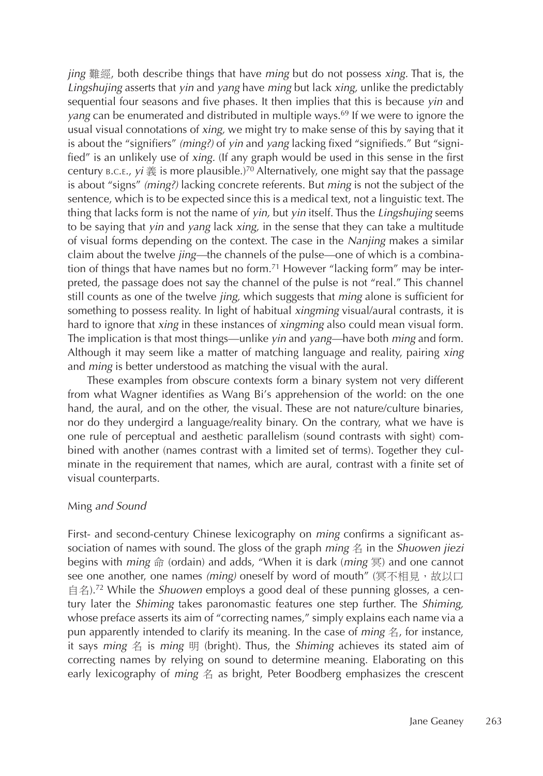jing 難經, both describe things that have ming but do not possess xing. That is, the Lingshujing asserts that yin and yang have ming but lack xing, unlike the predictably sequential four seasons and five phases. It then implies that this is because *yin* and yang can be enumerated and distributed in multiple ways.<sup>69</sup> If we were to ignore the usual visual connotations of xing, we might try to make sense of this by saying that it is about the "signifiers" (ming?) of yin and yang lacking fixed "signifieds." But "signified" is an unlikely use of xing. (If any graph would be used in this sense in the first century B.C.E., yi  $\ddot{\ddot{\mathbf{g}}}$  is more plausible.)<sup>70</sup> Alternatively, one might say that the passage is about "signs" (ming?) lacking concrete referents. But ming is not the subject of the sentence, which is to be expected since this is a medical text, not a linguistic text. The thing that lacks form is not the name of yin, but yin itself. Thus the Lingshujing seems to be saying that *yin* and *yang lack xing*, in the sense that they can take a multitude of visual forms depending on the context. The case in the Nanjing makes a similar claim about the twelve *jing*—the channels of the pulse—one of which is a combination of things that have names but no form.71 However "lacking form" may be interpreted, the passage does not say the channel of the pulse is not "real." This channel still counts as one of the twelve *jing*, which suggests that *ming* alone is sufficient for something to possess reality. In light of habitual xingming visual/aural contrasts, it is hard to ignore that xing in these instances of xingming also could mean visual form. The implication is that most things—unlike *yin* and *yang*—have both *ming* and form. Although it may seem like a matter of matching language and reality, pairing xing and ming is better understood as matching the visual with the aural.

These examples from obscure contexts form a binary system not very different from what Wagner identifies as Wang Bi's apprehension of the world: on the one hand, the aural, and on the other, the visual. These are not nature/culture binaries, nor do they undergird a language/reality binary. On the contrary, what we have is one rule of perceptual and aesthetic parallelism (sound contrasts with sight) combined with another (names contrast with a limited set of terms). Together they culminate in the requirement that names, which are aural, contrast with a finite set of visual counterparts.

#### Ming and Sound

First- and second-century Chinese lexicography on ming confirms a significant association of names with sound. The gloss of the graph ming  $\hat{A}$  in the *Shuowen jiezi* begins with *ming* 命 (ordain) and adds, "When it is dark (ming 冥) and one cannot see one another, one names (ming) oneself by word of mouth" (冥不相見,故以口  $\hat{p} \leq 4$ ).<sup>72</sup> While the *Shuowen* employs a good deal of these punning glosses, a century later the Shiming takes paronomastic features one step further. The Shiming, whose preface asserts its aim of "correcting names," simply explains each name via a pun apparently intended to clarify its meaning. In the case of *ming*  $\&$ , for instance, it says ming  $\&$  is ming  $\&$  (bright). Thus, the Shiming achieves its stated aim of correcting names by relying on sound to determine meaning. Elaborating on this early lexicography of ming  $\&$  as bright, Peter Boodberg emphasizes the crescent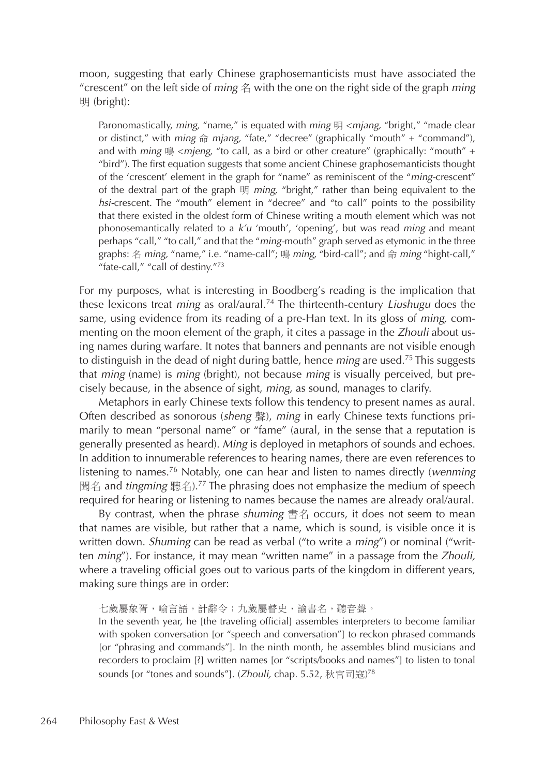moon, suggesting that early Chinese graphosemanticists must have associated the "crescent" on the left side of ming  $A$  with the one on the right side of the graph ming 明 (bright):

Paronomastically, *ming*, "name," is equated with *ming* 明 <miang, "bright," "made clear or distinct," with ming  $\hat{m}$  mjang, "fate," "decree" (graphically "mouth" + "command"), and with ming 鳴  $\leq m$  ieng, "to call, as a bird or other creature" (graphically: "mouth" + "bird"). The first equation suggests that some ancient Chinese graphosemanticists thought of the 'crescent' element in the graph for "name" as reminiscent of the "ming-crescent" of the dextral part of the graph  $\mathbb{H}$  ming, "bright," rather than being equivalent to the hsi-crescent. The "mouth" element in "decree" and "to call" points to the possibility that there existed in the oldest form of Chinese writing a mouth element which was not phonosemantically related to a k'u 'mouth', 'opening', but was read ming and meant perhaps "call," "to call," and that the "ming-mouth" graph served as etymonic in the three graphs: 名 ming, "name," i.e. "name-call"; 鳴 ming, "bird-call"; and 命 ming "hight-call," "fate-call," "call of destiny."<sup>73</sup>

For my purposes, what is interesting in Boodberg's reading is the implication that these lexicons treat ming as oral/aural.<sup>74</sup> The thirteenth-century Liushugu does the same, using evidence from its reading of a pre-Han text. In its gloss of *ming*, commenting on the moon element of the graph, it cites a passage in the Zhouli about using names during warfare. It notes that banners and pennants are not visible enough to distinguish in the dead of night during battle, hence *ming* are used.<sup>75</sup> This suggests that *ming* (name) is *ming* (bright), not because *ming* is visually perceived, but precisely because, in the absence of sight, ming, as sound, manages to clarify.

Metaphors in early Chinese texts follow this tendency to present names as aural. Often described as sonorous (sheng 聲), ming in early Chinese texts functions primarily to mean "personal name" or "fame" (aural, in the sense that a reputation is generally presented as heard). Ming is deployed in metaphors of sounds and echoes. In addition to innumerable references to hearing names, there are even references to listening to names.<sup>76</sup> Notably, one can hear and listen to names directly (wenming 聞名 and tingming 聽名).<sup>77</sup> The phrasing does not emphasize the medium of speech required for hearing or listening to names because the names are already oral/aural.

By contrast, when the phrase shuming 書名 occurs, it does not seem to mean that names are visible, but rather that a name, which is sound, is visible once it is written down. *Shuming* can be read as verbal ("to write a *ming*") or nominal ("written *ming*"). For instance, it may mean "written name" in a passage from the Zhouli, where a traveling official goes out to various parts of the kingdom in different years, making sure things are in order:

#### 七歲屬象胥,喻言語,計辭令;九歲屬瞽史,諭書名,聽音聲。

In the seventh year, he [the traveling official] assembles interpreters to become familiar with spoken conversation [or "speech and conversation"] to reckon phrased commands [or "phrasing and commands"]. In the ninth month, he assembles blind musicians and recorders to proclaim [?] written names [or "scripts/books and names"] to listen to tonal sounds [or "tones and sounds"]. (Zhouli, chap. 5.52, 秋官司寇) $^{78}$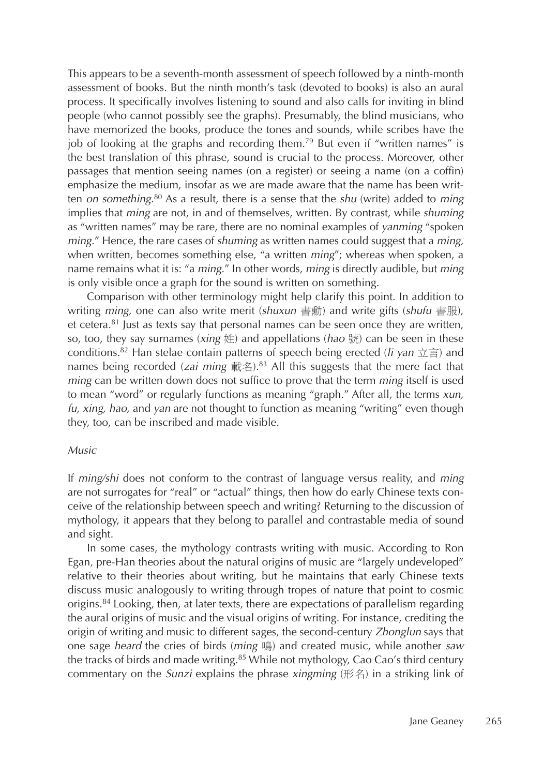This appears to be a seventh-month assessment of speech followed by a ninth-month assessment of books. But the ninth month's task (devoted to books) is also an aural process. It specifically involves listening to sound and also calls for inviting in blind people (who cannot possibly see the graphs). Presumably, the blind musicians, who have memorized the books, produce the tones and sounds, while scribes have the job of looking at the graphs and recording them.<sup>79</sup> But even if "written names" is the best translation of this phrase, sound is crucial to the process. Moreover, other passages that mention seeing names (on a register) or seeing a name (on a coffin) emphasize the medium, insofar as we are made aware that the name has been written on something.<sup>80</sup> As a result, there is a sense that the shu (write) added to ming implies that ming are not, in and of themselves, written. By contrast, while shuming as "written names" may be rare, there are no nominal examples of yanming "spoken ming." Hence, the rare cases of shuming as written names could suggest that a ming, when written, becomes something else, "a written *ming*"; whereas when spoken, a name remains what it is: "a ming." In other words, ming is directly audible, but ming is only visible once a graph for the sound is written on something.

Comparison with other terminology might help clarify this point. In addition to writing *ming*, one can also write merit (shuxun 書勳) and write gifts (shufu 書服), et cetera. $81$  Just as texts say that personal names can be seen once they are written, so, too, they say surnames (xing 姓) and appellations (hao 號) can be seen in these conditions.<sup>82</sup> Han stelae contain patterns of speech being erected (*li yan*  $\dot{\mathcal{X}}$   $\dot{\mathcal{Y}}$ ) and names being recorded (*zai ming* 載名).<sup>83</sup> All this suggests that the mere fact that ming can be written down does not suffice to prove that the term ming itself is used to mean "word" or regularly functions as meaning "graph." After all, the terms xun, fu, xing, hao, and yan are not thought to function as meaning "writing" even though they, too, can be inscribed and made visible.

#### Music

If ming/shi does not conform to the contrast of language versus reality, and ming are not surrogates for "real" or "actual" things, then how do early Chinese texts conceive of the relationship between speech and writing? Returning to the discussion of mythology, it appears that they belong to parallel and contrastable media of sound and sight.

In some cases, the mythology contrasts writing with music. According to Ron Egan, pre-Han theories about the natural origins of music are "largely undeveloped" relative to their theories about writing, but he maintains that early Chinese texts discuss music analogously to writing through tropes of nature that point to cosmic origins.84 Looking, then, at later texts, there are expectations of parallelism regarding the aural origins of music and the visual origins of writing. For instance, crediting the origin of writing and music to different sages, the second-century Zhonglun says that one sage *heard* the cries of birds (ming 鳴) and created music, while another saw the tracks of birds and made writing.<sup>85</sup> While not mythology, Cao Cao's third century commentary on the Sunzi explains the phrase xingming (形名) in a striking link of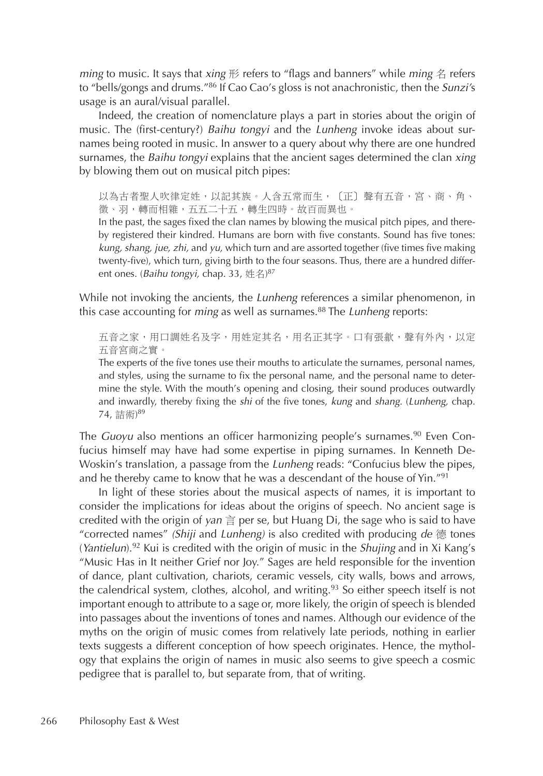ming to music. It says that xing  $E$  refers to "flags and banners" while ming  $\hat{z}$  refers to "bells/gongs and drums."<sup>86</sup> If Cao Cao's gloss is not anachronistic, then the Sunzi's usage is an aural/visual parallel.

Indeed, the creation of nomenclature plays a part in stories about the origin of music. The (first-century?) Baihu tongyi and the Lunheng invoke ideas about surnames being rooted in music. In answer to a query about why there are one hundred surnames, the Baihu tongyi explains that the ancient sages determined the clan xing by blowing them out on musical pitch pipes:

以為古者聖人吹律定姓,以記其族。人含五常而生,〔正〕聲有五音,宮、商、角、 徵、羽,轉而相雜,五五二十五,轉生四時。故百而異也。

In the past, the sages fixed the clan names by blowing the musical pitch pipes, and thereby registered their kindred. Humans are born with five constants. Sound has five tones: kung, shang, jue, zhi, and yu, which turn and are assorted together (five times five making twenty-five), which turn, giving birth to the four seasons. Thus, there are a hundred different ones. (*Baihu tongyi,* chap. 33, 姓名)<sup>87</sup>

While not invoking the ancients, the *Lunheng* references a similar phenomenon, in this case accounting for *ming* as well as surnames.<sup>88</sup> The *Lunheng* reports:

五音之家,用口調姓名及字,用姓定其名,用名正其字。口有張歙,聲有外內,以定 五音宮商之實。

The experts of the five tones use their mouths to articulate the surnames, personal names, and styles, using the surname to fix the personal name, and the personal name to determine the style. With the mouth's opening and closing, their sound produces outwardly and inwardly, thereby fixing the *shi* of the five tones, *kung* and *shang*. (Lunheng, chap. 74, 詰術) 89

The *Guoyu* also mentions an officer harmonizing people's surnames.<sup>90</sup> Even Confucius himself may have had some expertise in piping surnames. In Kenneth De-Woskin's translation, a passage from the Lunheng reads: "Confucius blew the pipes, and he thereby came to know that he was a descendant of the house of Yin."91

In light of these stories about the musical aspects of names, it is important to consider the implications for ideas about the origins of speech. No ancient sage is credited with the origin of yan  $\equiv$  per se, but Huang Di, the sage who is said to have "corrected names" (Shiji and Lunheng) is also credited with producing de 德 tones (Yantielun).<sup>92</sup> Kui is credited with the origin of music in the Shujing and in Xi Kang's "Music Has in It neither Grief nor Joy." Sages are held responsible for the invention of dance, plant cultivation, chariots, ceramic vessels, city walls, bows and arrows, the calendrical system, clothes, alcohol, and writing.<sup>93</sup> So either speech itself is not important enough to attribute to a sage or, more likely, the origin of speech is blended into passages about the inventions of tones and names. Although our evidence of the myths on the origin of music comes from relatively late periods, nothing in earlier texts suggests a different conception of how speech originates. Hence, the mythology that explains the origin of names in music also seems to give speech a cosmic pedigree that is parallel to, but separate from, that of writing.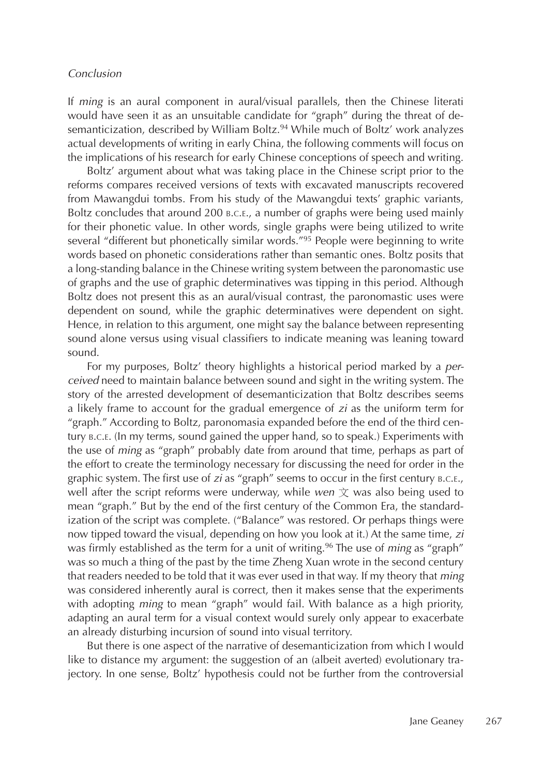#### Conclusion

If ming is an aural component in aural/visual parallels, then the Chinese literati would have seen it as an unsuitable candidate for "graph" during the threat of desemanticization, described by William Boltz.<sup>94</sup> While much of Boltz' work analyzes actual developments of writing in early China, the following comments will focus on the implications of his research for early Chinese conceptions of speech and writing.

Boltz' argument about what was taking place in the Chinese script prior to the reforms compares received versions of texts with excavated manuscripts recovered from Mawangdui tombs. From his study of the Mawangdui texts' graphic variants, Boltz concludes that around 200 B.C.E., a number of graphs were being used mainly for their phonetic value. In other words, single graphs were being utilized to write several "different but phonetically similar words."95 People were beginning to write words based on phonetic considerations rather than semantic ones. Boltz posits that a long-standing balance in the Chinese writing system between the paronomastic use of graphs and the use of graphic determinatives was tipping in this period. Although Boltz does not present this as an aural/visual contrast, the paronomastic uses were dependent on sound, while the graphic determinatives were dependent on sight. Hence, in relation to this argument, one might say the balance between representing sound alone versus using visual classifiers to indicate meaning was leaning toward sound.

For my purposes, Boltz' theory highlights a historical period marked by a perceived need to maintain balance between sound and sight in the writing system. The story of the arrested development of desemanticization that Boltz describes seems a likely frame to account for the gradual emergence of zi as the uniform term for "graph." According to Boltz, paronomasia expanded before the end of the third century B.C.E. (In my terms, sound gained the upper hand, so to speak.) Experiments with the use of ming as "graph" probably date from around that time, perhaps as part of the effort to create the terminology necessary for discussing the need for order in the graphic system. The first use of zi as "graph" seems to occur in the first century B.C.E., well after the script reforms were underway, while wen  $\dot{\chi}$  was also being used to mean "graph." But by the end of the first century of the Common Era, the standardization of the script was complete. ("Balance" was restored. Or perhaps things were now tipped toward the visual, depending on how you look at it.) At the same time, zi was firmly established as the term for a unit of writing.<sup>96</sup> The use of *ming* as "graph" was so much a thing of the past by the time Zheng Xuan wrote in the second century that readers needed to be told that it was ever used in that way. If my theory that ming was considered inherently aural is correct, then it makes sense that the experiments with adopting *ming* to mean "graph" would fail. With balance as a high priority, adapting an aural term for a visual context would surely only appear to exacerbate an already disturbing incursion of sound into visual territory.

But there is one aspect of the narrative of desemanticization from which I would like to distance my argument: the suggestion of an (albeit averted) evolutionary trajectory. In one sense, Boltz' hypothesis could not be further from the controversial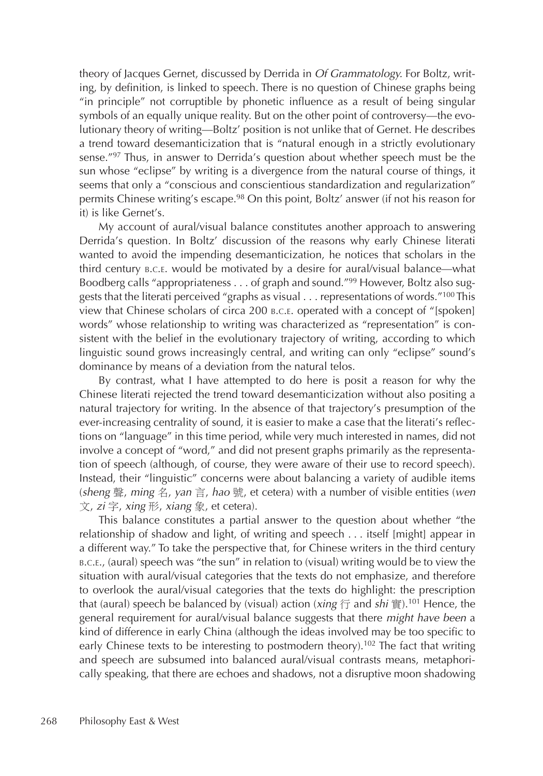theory of Jacques Gernet, discussed by Derrida in Of Grammatology. For Boltz, writing, by definition, is linked to speech. There is no question of Chinese graphs being "in principle" not corruptible by phonetic influence as a result of being singular symbols of an equally unique reality. But on the other point of controversy—the evolutionary theory of writing—Boltz' position is not unlike that of Gernet. He describes a trend toward desemanticization that is "natural enough in a strictly evolutionary sense."<sup>97</sup> Thus, in answer to Derrida's question about whether speech must be the sun whose "eclipse" by writing is a divergence from the natural course of things, it seems that only a "conscious and conscientious standardization and regularization" permits Chinese writing's escape.98 On this point, Boltz' answer (if not his reason for it) is like Gernet's.

My account of aural/visual balance constitutes another approach to answering Derrida's question. In Boltz' discussion of the reasons why early Chinese literati wanted to avoid the impending desemanticization, he notices that scholars in the third century B.C.E. would be motivated by a desire for aural/visual balance—what Boodberg calls "appropriateness . . . of graph and sound."<sup>99</sup> However, Boltz also suggests that the literati perceived "graphs as visual . . . representations of words."<sup>100</sup> This view that Chinese scholars of circa 200 B.C.E. operated with a concept of "[spoken] words" whose relationship to writing was characterized as "representation" is consistent with the belief in the evolutionary trajectory of writing, according to which linguistic sound grows increasingly central, and writing can only "eclipse" sound's dominance by means of a deviation from the natural telos.

By contrast, what I have attempted to do here is posit a reason for why the Chinese literati rejected the trend toward desemanticization without also positing a natural trajectory for writing. In the absence of that trajectory's presumption of the ever-increasing centrality of sound, it is easier to make a case that the literati's reflections on "language" in this time period, while very much interested in names, did not involve a concept of "word," and did not present graphs primarily as the representation of speech (although, of course, they were aware of their use to record speech). Instead, their "linguistic" concerns were about balancing a variety of audible items (sheng 聲, ming 名, yan 言, hao 號, et cetera) with a number of visible entities (wen 文, zi 字, xing 形, xiang 象, et cetera).

This balance constitutes a partial answer to the question about whether "the relationship of shadow and light, of writing and speech . . . itself [might] appear in a different way." To take the perspective that, for Chinese writers in the third century B.C.E., (aural) speech was "the sun" in relation to (visual) writing would be to view the situation with aural/visual categories that the texts do not emphasize, and therefore to overlook the aural/visual categories that the texts do highlight: the prescription that (aural) speech be balanced by (visual) action (xing行 and shi 實).<sup>101</sup> Hence, the general requirement for aural/visual balance suggests that there might have been a kind of difference in early China (although the ideas involved may be too specific to early Chinese texts to be interesting to postmodern theory).<sup>102</sup> The fact that writing and speech are subsumed into balanced aural/visual contrasts means, metaphorically speaking, that there are echoes and shadows, not a disruptive moon shadowing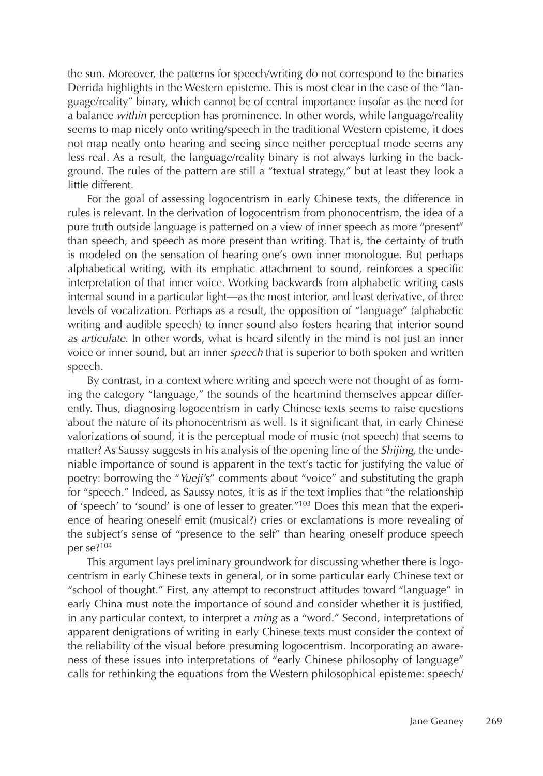the sun. Moreover, the patterns for speech/writing do not correspond to the binaries Derrida highlights in the Western episteme. This is most clear in the case of the "language/reality" binary, which cannot be of central importance insofar as the need for a balance within perception has prominence. In other words, while language/reality seems to map nicely onto writing/speech in the traditional Western episteme, it does not map neatly onto hearing and seeing since neither perceptual mode seems any less real. As a result, the language/reality binary is not always lurking in the background. The rules of the pattern are still a "textual strategy," but at least they look a little different.

For the goal of assessing logocentrism in early Chinese texts, the difference in rules is relevant. In the derivation of logocentrism from phonocentrism, the idea of a pure truth outside language is patterned on a view of inner speech as more "present" than speech, and speech as more present than writing. That is, the certainty of truth is modeled on the sensation of hearing one's own inner monologue. But perhaps alphabetical writing, with its emphatic attachment to sound, reinforces a specific interpretation of that inner voice. Working backwards from alphabetic writing casts internal sound in a particular light—as the most interior, and least derivative, of three levels of vocalization. Perhaps as a result, the opposition of "language" (alphabetic writing and audible speech) to inner sound also fosters hearing that interior sound as articulate. In other words, what is heard silently in the mind is not just an inner voice or inner sound, but an inner speech that is superior to both spoken and written speech.

By contrast, in a context where writing and speech were not thought of as forming the category "language," the sounds of the heartmind themselves appear differently. Thus, diagnosing logocentrism in early Chinese texts seems to raise questions about the nature of its phonocentrism as well. Is it significant that, in early Chinese valorizations of sound, it is the perceptual mode of music (not speech) that seems to matter? As Saussy suggests in his analysis of the opening line of the Shijing, the undeniable importance of sound is apparent in the text's tactic for justifying the value of poetry: borrowing the "Yueji's" comments about "voice" and substituting the graph for "speech." Indeed, as Saussy notes, it is as if the text implies that "the relationship of 'speech' to 'sound' is one of lesser to greater."103 Does this mean that the experience of hearing oneself emit (musical?) cries or exclamations is more revealing of the subject's sense of "presence to the self" than hearing oneself produce speech per se?104

This argument lays preliminary groundwork for discussing whether there is logocentrism in early Chinese texts in general, or in some particular early Chinese text or "school of thought." First, any attempt to reconstruct attitudes toward "language" in early China must note the importance of sound and consider whether it is justified, in any particular context, to interpret a ming as a "word." Second, interpretations of apparent denigrations of writing in early Chinese texts must consider the context of the reliability of the visual before presuming logocentrism. Incorporating an awareness of these issues into interpretations of "early Chinese philosophy of language" calls for rethinking the equations from the Western philosophical episteme: speech/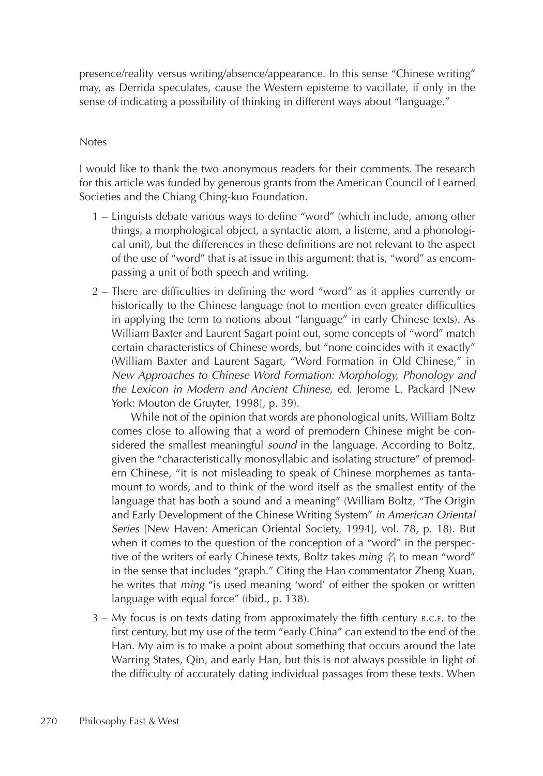presence/reality versus writing/absence/appearance. In this sense "Chinese writing" may, as Derrida speculates, cause the Western episteme to vacillate, if only in the sense of indicating a possibility of thinking in different ways about "language."

# **Notes**

I would like to thank the two anonymous readers for their comments. The research for this article was funded by generous grants from the American Council of Learned Societies and the Chiang Ching-kuo Foundation.

- 1 Linguists debate various ways to define "word" (which include, among other things, a morphological object, a syntactic atom, a listeme, and a phonological unit), but the differences in these definitions are not relevant to the aspect of the use of "word" that is at issue in this argument: that is, "word" as encompassing a unit of both speech and writing.
- 2 There are difficulties in defining the word "word" as it applies currently or historically to the Chinese language (not to mention even greater difficulties in applying the term to notions about "language" in early Chinese texts). As William Baxter and Laurent Sagart point out, some concepts of "word" match certain characteristics of Chinese words, but "none coincides with it exactly" (William Baxter and Laurent Sagart, "Word Formation in Old Chinese," in New Approaches to Chinese Word Formation: Morphology, Phonology and the Lexicon in Modern and Ancient Chinese, ed. Jerome L. Packard [New York: Mouton de Gruyter, 1998], p. 39).

While not of the opinion that words are phonological units, William Boltz comes close to allowing that a word of premodern Chinese might be considered the smallest meaningful sound in the language. According to Boltz, given the "characteristically monosyllabic and isolating structure" of premodern Chinese, "it is not misleading to speak of Chinese morphemes as tantamount to words, and to think of the word itself as the smallest entity of the language that has both a sound and a meaning" (William Boltz, "The Origin and Early Development of the Chinese Writing System" in American Oriental Series [New Haven: American Oriental Society, 1994], vol. 78, p. 18). But when it comes to the question of the conception of a "word" in the perspective of the writers of early Chinese texts, Boltz takes ming  $\&$  to mean "word" in the sense that includes "graph." Citing the Han commentator Zheng Xuan, he writes that *ming* "is used meaning 'word' of either the spoken or written language with equal force" (ibid., p. 138).

 3 – My focus is on texts dating from approximately the fifth century B.C.E. to the first century, but my use of the term "early China" can extend to the end of the Han. My aim is to make a point about something that occurs around the late Warring States, Qin, and early Han, but this is not always possible in light of the difficulty of accurately dating individual passages from these texts. When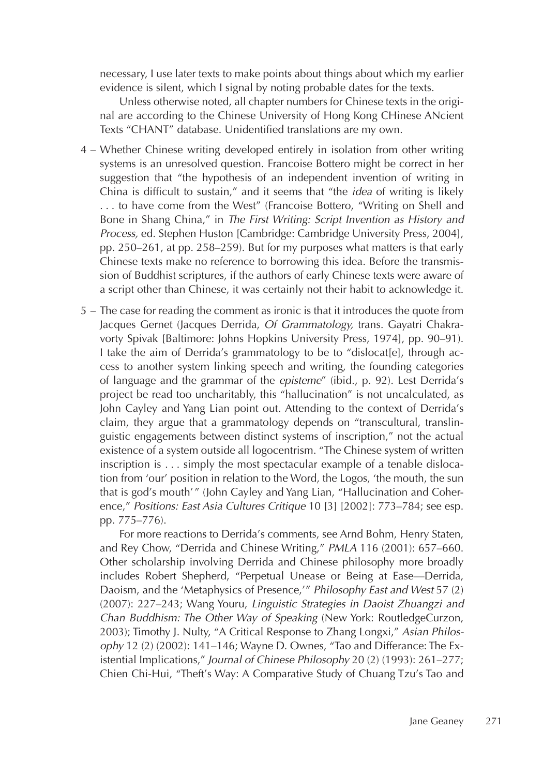necessary, I use later texts to make points about things about which my earlier evidence is silent, which I signal by noting probable dates for the texts.

Unless otherwise noted, all chapter numbers for Chinese texts in the original are according to the Chinese University of Hong Kong CHinese ANcient Texts "CHANT" database. Unidentified translations are my own.

- 4 Whether Chinese writing developed entirely in isolation from other writing systems is an unresolved question. Francoise Bottero might be correct in her suggestion that "the hypothesis of an independent invention of writing in China is difficult to sustain," and it seems that "the idea of writing is likely . . . to have come from the West" (Francoise Bottero, "Writing on Shell and Bone in Shang China," in The First Writing: Script Invention as History and Process, ed. Stephen Huston [Cambridge: Cambridge University Press, 2004], pp. 250–261, at pp. 258–259). But for my purposes what matters is that early Chinese texts make no reference to borrowing this idea. Before the transmission of Buddhist scriptures, if the authors of early Chinese texts were aware of a script other than Chinese, it was certainly not their habit to acknowledge it.
- 5 The case for reading the comment as ironic is that it introduces the quote from Jacques Gernet (Jacques Derrida, Of Grammatology, trans. Gayatri Chakravorty Spivak [Baltimore: Johns Hopkins University Press, 1974], pp. 90–91). I take the aim of Derrida's grammatology to be to "dislocat[e], through access to another system linking speech and writing, the founding categories of language and the grammar of the episteme" (ibid., p. 92). Lest Derrida's project be read too uncharitably, this "hallucination" is not uncalculated, as John Cayley and Yang Lian point out. Attending to the context of Derrida's claim, they argue that a grammatology depends on "transcultural, translinguistic engagements between distinct systems of inscription," not the actual existence of a system outside all logocentrism. "The Chinese system of written inscription is . . . simply the most spectacular example of a tenable dislocation from 'our' position in relation to the Word, the Logos, 'the mouth, the sun that is god's mouth'" (John Cayley and Yang Lian, "Hallucination and Coherence," Positions: East Asia Cultures Critique 10 [3] [2002]: 773–784; see esp. pp. 775–776).

For more reactions to Derrida's comments, see Arnd Bohm, Henry Staten, and Rey Chow, "Derrida and Chinese Writing," PMLA 116 (2001): 657–660. Other scholarship involving Derrida and Chinese philosophy more broadly includes Robert Shepherd, "Perpetual Unease or Being at Ease—Derrida, Daoism, and the 'Metaphysics of Presence,'" Philosophy East and West 57 (2) (2007): 227–243; Wang Youru, Linguistic Strategies in Daoist Zhuangzi and Chan Buddhism: The Other Way of Speaking (New York: RoutledgeCurzon, 2003); Timothy J. Nulty, "A Critical Response to Zhang Longxi," Asian Philosophy 12 (2) (2002): 141–146; Wayne D. Ownes, "Tao and Differance: The Existential Implications," Journal of Chinese Philosophy 20 (2) (1993): 261–277; Chien Chi-Hui, "Theft's Way: A Comparative Study of Chuang Tzu's Tao and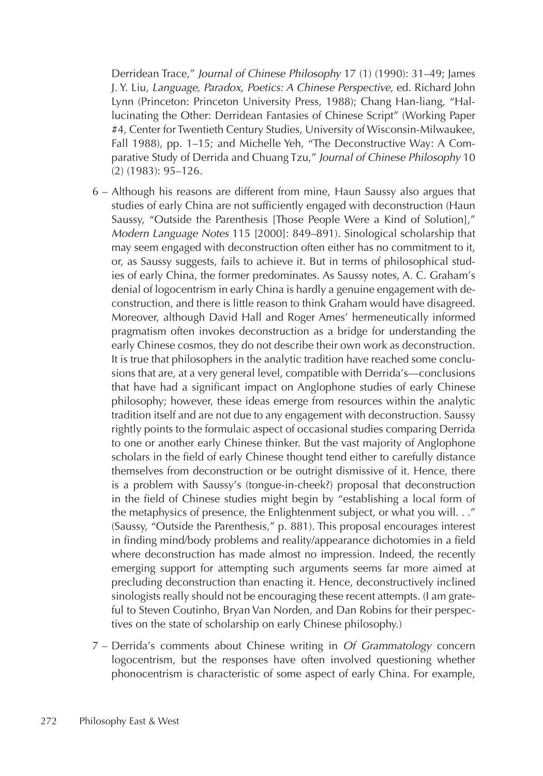Derridean Trace," Journal of Chinese Philosophy 17 (1) (1990): 31–49; James J. Y. Liu, Language, Paradox, Poetics: A Chinese Perspective, ed. Richard John Lynn (Princeton: Princeton University Press, 1988); Chang Han-liang, "Hallucinating the Other: Derridean Fantasies of Chinese Script" (Working Paper #4, Center for Twentieth Century Studies, University of Wisconsin-Milwaukee, Fall 1988), pp. 1–15; and Michelle Yeh, "The Deconstructive Way: A Comparative Study of Derrida and Chuang Tzu," Journal of Chinese Philosophy 10 (2) (1983): 95–126.

- 6 Although his reasons are different from mine, Haun Saussy also argues that studies of early China are not sufficiently engaged with deconstruction (Haun Saussy, "Outside the Parenthesis [Those People Were a Kind of Solution]," Modern Language Notes 115 [2000]: 849–891). Sinological scholarship that may seem engaged with deconstruction often either has no commitment to it, or, as Saussy suggests, fails to achieve it. But in terms of philosophical studies of early China, the former predominates. As Saussy notes, A. C. Graham's denial of logocentrism in early China is hardly a genuine engagement with deconstruction, and there is little reason to think Graham would have disagreed. Moreover, although David Hall and Roger Ames' hermeneutically informed pragmatism often invokes deconstruction as a bridge for understanding the early Chinese cosmos, they do not describe their own work as deconstruction. It is true that philosophers in the analytic tradition have reached some conclusions that are, at a very general level, compatible with Derrida's—conclusions that have had a significant impact on Anglophone studies of early Chinese philosophy; however, these ideas emerge from resources within the analytic tradition itself and are not due to any engagement with deconstruction. Saussy rightly points to the formulaic aspect of occasional studies comparing Derrida to one or another early Chinese thinker. But the vast majority of Anglophone scholars in the field of early Chinese thought tend either to carefully distance themselves from deconstruction or be outright dismissive of it. Hence, there is a problem with Saussy's (tongue-in-cheek?) proposal that deconstruction in the field of Chinese studies might begin by "establishing a local form of the metaphysics of presence, the Enlightenment subject, or what you will. . ." (Saussy, "Outside the Parenthesis," p. 881). This proposal encourages interest in finding mind/body problems and reality/appearance dichotomies in a field where deconstruction has made almost no impression. Indeed, the recently emerging support for attempting such arguments seems far more aimed at precluding deconstruction than enacting it. Hence, deconstructively inclined sinologists really should not be encouraging these recent attempts. (I am grateful to Steven Coutinho, Bryan Van Norden, and Dan Robins for their perspectives on the state of scholarship on early Chinese philosophy.)
- 7 Derrida's comments about Chinese writing in Of Grammatology concern logocentrism, but the responses have often involved questioning whether phonocentrism is characteristic of some aspect of early China. For example,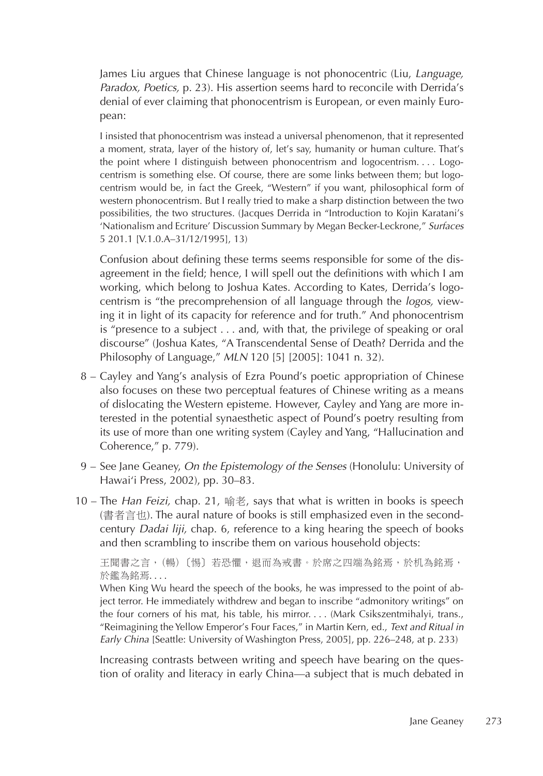James Liu argues that Chinese language is not phonocentric (Liu, Language, Paradox, Poetics, p. 23). His assertion seems hard to reconcile with Derrida's denial of ever claiming that phonocentrism is European, or even mainly European:

I insisted that phonocentrism was instead a universal phenomenon, that it represented a moment, strata, layer of the history of, let's say, humanity or human culture. That's the point where I distinguish between phonocentrism and logocentrism. . . . Logocentrism is something else. Of course, there are some links between them; but logocentrism would be, in fact the Greek, "Western" if you want, philosophical form of western phonocentrism. But I really tried to make a sharp distinction between the two possibilities, the two structures. (Jacques Derrida in "Introduction to Kojin Karatani's 'Nationalism and Ecriture' Discussion Summary by Megan Becker-Leckrone," Surfaces 5 201.1 [V.1.0.A–31/12/1995], 13)

Confusion about defining these terms seems responsible for some of the disagreement in the field; hence, I will spell out the definitions with which I am working, which belong to Joshua Kates. According to Kates, Derrida's logocentrism is "the precomprehension of all language through the logos, viewing it in light of its capacity for reference and for truth." And phonocentrism is "presence to a subject . . . and, with that, the privilege of speaking or oral discourse" ( Joshua Kates, "A Transcendental Sense of Death? Derrida and the Philosophy of Language," MLN 120 [5] [2005]: 1041 n. 32).

- 8 Cayley and Yang's analysis of Ezra Pound's poetic appropriation of Chinese also focuses on these two perceptual features of Chinese writing as a means of dislocating the Western episteme. However, Cayley and Yang are more interested in the potential synaesthetic aspect of Pound's poetry resulting from its use of more than one writing system (Cayley and Yang, "Hallucination and Coherence," p. 779).
- 9 See Jane Geaney, On the Epistemology of the Senses (Honolulu: University of Hawai'i Press, 2002), pp. 30–83.
- 10 The Han Feizi, chap. 21, 喻老, says that what is written in books is speech (書者言也). The aural nature of books is still emphasized even in the secondcentury Dadai liji, chap. 6, reference to a king hearing the speech of books and then scrambling to inscribe them on various household objects:

王聞書之言,(暢)〔惕〕若恐懼,退而為戒書。於席之四端為銘焉,於机為銘焉, 於鑑為銘焉....

When King Wu heard the speech of the books, he was impressed to the point of abject terror. He immediately withdrew and began to inscribe "admonitory writings" on the four corners of his mat, his table, his mirror. . . . (Mark Csikszentmihalyi, trans., "Reimagining the Yellow Emperor's Four Faces," in Martin Kern, ed., Text and Ritual in Early China [Seattle: University of Washington Press, 2005], pp. 226–248, at p. 233)

Increasing contrasts between writing and speech have bearing on the question of orality and literacy in early China—a subject that is much debated in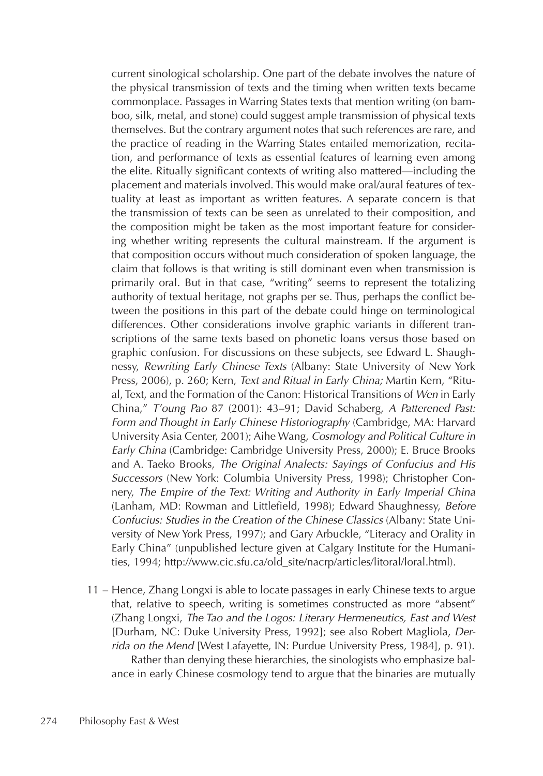current sinological scholarship. One part of the debate involves the nature of the physical transmission of texts and the timing when written texts became commonplace. Passages in Warring States texts that mention writing (on bamboo, silk, metal, and stone) could suggest ample transmission of physical texts themselves. But the contrary argument notes that such references are rare, and the practice of reading in the Warring States entailed memorization, recitation, and performance of texts as essential features of learning even among the elite. Ritually significant contexts of writing also mattered—including the placement and materials involved. This would make oral/aural features of textuality at least as important as written features. A separate concern is that the transmission of texts can be seen as unrelated to their composition, and the composition might be taken as the most important feature for considering whether writing represents the cultural mainstream. If the argument is that composition occurs without much consideration of spoken language, the claim that follows is that writing is still dominant even when transmission is primarily oral. But in that case, "writing" seems to represent the totalizing authority of textual heritage, not graphs per se. Thus, perhaps the conflict between the positions in this part of the debate could hinge on terminological differences. Other considerations involve graphic variants in different transcriptions of the same texts based on phonetic loans versus those based on graphic confusion. For discussions on these subjects, see Edward L. Shaughnessy, Rewriting Early Chinese Texts (Albany: State University of New York Press, 2006), p. 260; Kern, Text and Ritual in Early China; Martin Kern, "Ritual, Text, and the Formation of the Canon: Historical Transitions of Wen in Early China," T'oung Pao 87 (2001): 43–91; David Schaberg, A Patterened Past: Form and Thought in Early Chinese Historiography (Cambridge, MA: Harvard University Asia Center, 2001); Aihe Wang, Cosmology and Political Culture in Early China (Cambridge: Cambridge University Press, 2000); E. Bruce Brooks and A. Taeko Brooks, The Original Analects: Sayings of Confucius and His Successors (New York: Columbia University Press, 1998); Christopher Connery, The Empire of the Text: Writing and Authority in Early Imperial China (Lanham, MD: Rowman and Littlefield, 1998); Edward Shaughnessy, Before Confucius: Studies in the Creation of the Chinese Classics (Albany: State University of New York Press, 1997); and Gary Arbuckle, "Literacy and Orality in Early China" (unpublished lecture given at Calgary Institute for the Humanities, 1994; http://www.cic.sfu.ca/old\_site/nacrp/articles/litoral/loral.html).

 11 – Hence, Zhang Longxi is able to locate passages in early Chinese texts to argue that, relative to speech, writing is sometimes constructed as more "absent" (Zhang Longxi, The Tao and the Logos: Literary Hermeneutics, East and West [Durham, NC: Duke University Press, 1992]; see also Robert Magliola, Derrida on the Mend [West Lafayette, IN: Purdue University Press, 1984], p. 91). Rather than denying these hierarchies, the sinologists who emphasize balance in early Chinese cosmology tend to argue that the binaries are mutually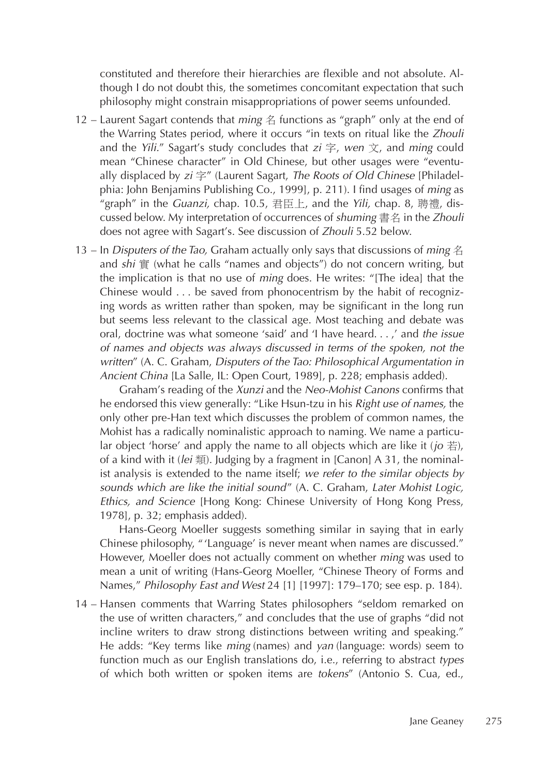constituted and therefore their hierarchies are flexible and not absolute. Although I do not doubt this, the sometimes concomitant expectation that such philosophy might constrain misappropriations of power seems unfounded.

- 12 Laurent Sagart contends that *ming*  $\&$  functions as "graph" only at the end of the Warring States period, where it occurs "in texts on ritual like the Zhouli and the Yili." Sagart's study concludes that  $zi \ncong$ , wen  $\chi$ , and ming could mean "Chinese character" in Old Chinese, but other usages were "eventually displaced by  $zi \ncong$ " (Laurent Sagart, The Roots of Old Chinese [Philadelphia: John Benjamins Publishing Co., 1999], p. 211). I find usages of ming as "graph" in the Guanzi, chap. 10.5, 君臣上, and the Yili, chap. 8, 聘禮, discussed below. My interpretation of occurrences of shuming 書名 in the Zhouli does not agree with Sagart's. See discussion of Zhouli 5.52 below.
- 13 In Disputers of the Tao, Graham actually only says that discussions of ming  $\hat{A}$ and shi 實 (what he calls "names and objects") do not concern writing, but the implication is that no use of ming does. He writes: "[The idea] that the Chinese would . . . be saved from phonocentrism by the habit of recognizing words as written rather than spoken, may be significant in the long run but seems less relevant to the classical age. Most teaching and debate was oral, doctrine was what someone 'said' and 'I have heard. . . ,' and the issue of names and objects was always discussed in terms of the spoken, not the written" (A. C. Graham, Disputers of the Tao: Philosophical Argumentation in Ancient China [La Salle, IL: Open Court, 1989], p. 228; emphasis added).

Graham's reading of the Xunzi and the Neo-Mohist Canons confirms that he endorsed this view generally: "Like Hsun-tzu in his Right use of names, the only other pre-Han text which discusses the problem of common names, the Mohist has a radically nominalistic approach to naming. We name a particular object 'horse' and apply the name to all objects which are like it ( $j\sigma \ddot{\tilde{\tau}}$ ), of a kind with it (lei 類). Judging by a fragment in [Canon] A 31, the nominalist analysis is extended to the name itself; we refer to the similar objects by sounds which are like the initial sound" (A. C. Graham, Later Mohist Logic, Ethics, and Science [Hong Kong: Chinese University of Hong Kong Press, 1978], p. 32; emphasis added).

Hans-Georg Moeller suggests something similar in saying that in early Chinese philosophy, " 'Language' is never meant when names are discussed." However, Moeller does not actually comment on whether ming was used to mean a unit of writing (Hans-Georg Moeller, "Chinese Theory of Forms and Names," Philosophy East and West 24 [1] [1997]: 179–170; see esp. p. 184).

 14 – Hansen comments that Warring States philosophers "seldom remarked on the use of written characters," and concludes that the use of graphs "did not incline writers to draw strong distinctions between writing and speaking." He adds: "Key terms like ming (names) and yan (language: words) seem to function much as our English translations do, i.e., referring to abstract types of which both written or spoken items are tokens" (Antonio S. Cua, ed.,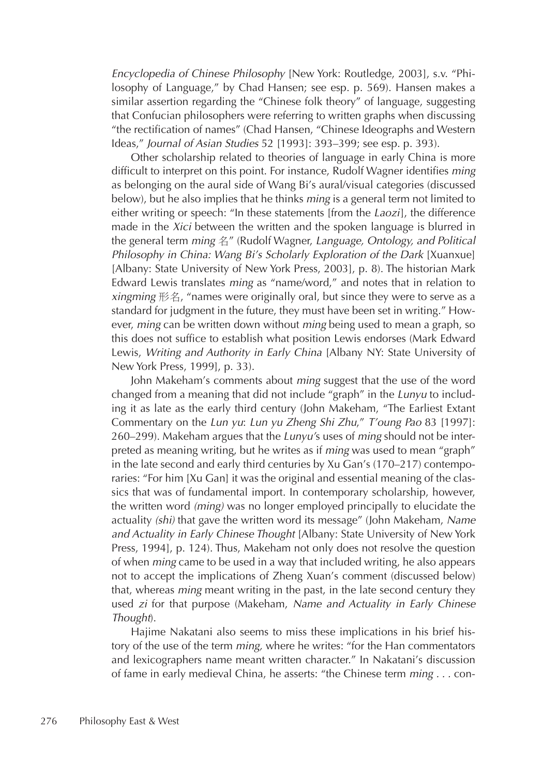Encyclopedia of Chinese Philosophy [New York: Routledge, 2003], s.v. "Philosophy of Language," by Chad Hansen; see esp. p. 569). Hansen makes a similar assertion regarding the "Chinese folk theory" of language, suggesting that Confucian philosophers were referring to written graphs when discussing "the rectification of names" (Chad Hansen, "Chinese Ideographs and Western Ideas," Journal of Asian Studies 52 [1993]: 393–399; see esp. p. 393).

Other scholarship related to theories of language in early China is more difficult to interpret on this point. For instance, Rudolf Wagner identifies ming as belonging on the aural side of Wang Bi's aural/visual categories (discussed below), but he also implies that he thinks *ming* is a general term not limited to either writing or speech: "In these statements [from the Laozi], the difference made in the Xici between the written and the spoken language is blurred in the general term ming 名" (Rudolf Wagner, Language, Ontology, and Political Philosophy in China: Wang Bi's Scholarly Exploration of the Dark [Xuanxue] [Albany: State University of New York Press, 2003], p. 8). The historian Mark Edward Lewis translates ming as "name/word," and notes that in relation to xingming 形名, "names were originally oral, but since they were to serve as a standard for judgment in the future, they must have been set in writing." However, ming can be written down without ming being used to mean a graph, so this does not suffice to establish what position Lewis endorses (Mark Edward Lewis, Writing and Authority in Early China [Albany NY: State University of New York Press, 1999], p. 33).

John Makeham's comments about ming suggest that the use of the word changed from a meaning that did not include "graph" in the Lunyu to including it as late as the early third century ( John Makeham, "The Earliest Extant Commentary on the Lun yu: Lun yu Zheng Shi Zhu," T'oung Pao 83 [1997]: 260–299). Makeham argues that the Lunyu's uses of ming should not be interpreted as meaning writing, but he writes as if ming was used to mean "graph" in the late second and early third centuries by Xu Gan's (170–217) contemporaries: "For him [Xu Gan] it was the original and essential meaning of the classics that was of fundamental import. In contemporary scholarship, however, the written word (ming) was no longer employed principally to elucidate the actuality (shi) that gave the written word its message" (John Makeham, Name and Actuality in Early Chinese Thought [Albany: State University of New York Press, 1994], p. 124). Thus, Makeham not only does not resolve the question of when ming came to be used in a way that included writing, he also appears not to accept the implications of Zheng Xuan's comment (discussed below) that, whereas ming meant writing in the past, in the late second century they used zi for that purpose (Makeham, Name and Actuality in Early Chinese Thought).

Hajime Nakatani also seems to miss these implications in his brief history of the use of the term *ming*, where he writes: "for the Han commentators and lexicographers name meant written character." In Nakatani's discussion of fame in early medieval China, he asserts: "the Chinese term ming . . . con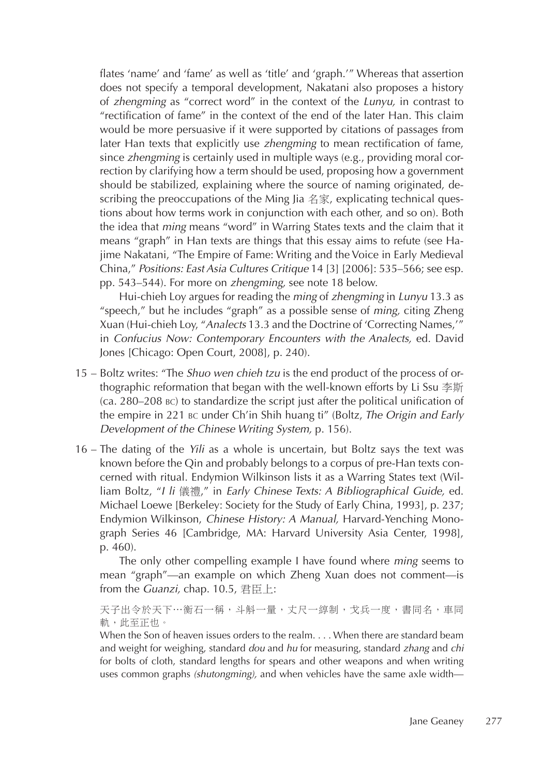flates 'name' and 'fame' as well as 'title' and 'graph.'" Whereas that assertion does not specify a temporal development, Nakatani also proposes a history of zhengming as "correct word" in the context of the Lunyu, in contrast to "rectification of fame" in the context of the end of the later Han. This claim would be more persuasive if it were supported by citations of passages from later Han texts that explicitly use zhengming to mean rectification of fame, since zhengming is certainly used in multiple ways (e.g., providing moral correction by clarifying how a term should be used, proposing how a government should be stabilized, explaining where the source of naming originated, describing the preoccupations of the Ming Jia 名家, explicating technical questions about how terms work in conjunction with each other, and so on). Both the idea that ming means "word" in Warring States texts and the claim that it means "graph" in Han texts are things that this essay aims to refute (see Hajime Nakatani, "The Empire of Fame: Writing and the Voice in Early Medieval China," Positions: East Asia Cultures Critique 14 [3] [2006]: 535–566; see esp. pp. 543–544). For more on zhengming, see note 18 below.

Hui-chieh Loy argues for reading the ming of zhengming in Lunyu 13.3 as "speech," but he includes "graph" as a possible sense of ming, citing Zheng Xuan (Hui-chieh Loy, "Analects 13.3 and the Doctrine of 'Correcting Names,' " in Confucius Now: Contemporary Encounters with the Analects, ed. David Jones [Chicago: Open Court, 2008], p. 240).

- 15 Boltz writes: "The Shuo wen chieh tzu is the end product of the process of orthographic reformation that began with the well-known efforts by Li Ssu 李斯 (ca. 280–208 BC) to standardize the script just after the political unification of the empire in 221 BC under Ch'in Shih huang ti" (Boltz, The Origin and Early Development of the Chinese Writing System, p. 156).
- 16 The dating of the Yili as a whole is uncertain, but Boltz says the text was known before the Qin and probably belongs to a corpus of pre-Han texts concerned with ritual. Endymion Wilkinson lists it as a Warring States text (William Boltz, "I li 儀禮," in Early Chinese Texts: A Bibliographical Guide, ed. Michael Loewe [Berkeley: Society for the Study of Early China, 1993], p. 237; Endymion Wilkinson, Chinese History: A Manual, Harvard-Yenching Monograph Series 46 [Cambridge, MA: Harvard University Asia Center, 1998], p. 460).

The only other compelling example I have found where *ming* seems to mean "graph"—an example on which Zheng Xuan does not comment—is from the *Guanzi*, chap. 10.5, 君臣上:

天子出令於天下…衡石一稱,斗斛一量,丈尺一綧制,戈兵一度,書同名,車同 軌,此至正也。

When the Son of heaven issues orders to the realm. . . . When there are standard beam and weight for weighing, standard dou and hu for measuring, standard zhang and chi for bolts of cloth, standard lengths for spears and other weapons and when writing uses common graphs (shutongming), and when vehicles have the same axle width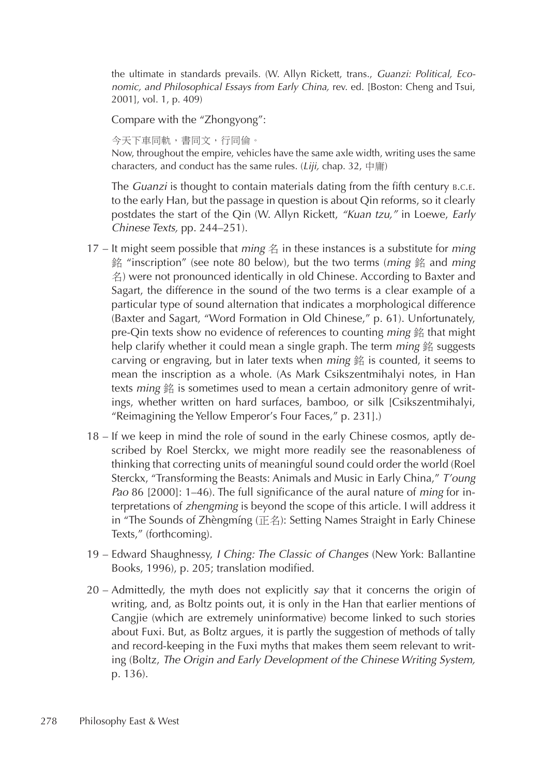the ultimate in standards prevails. (W. Allyn Rickett, trans., Guanzi: Political, Economic, and Philosophical Essays from Early China, rev. ed. [Boston: Cheng and Tsui, 2001], vol. 1, p. 409)

Compare with the "Zhongyong":

今天下車同軌,書同文,行同倫。

Now, throughout the empire, vehicles have the same axle width, writing uses the same characters, and conduct has the same rules. (*Liji*, chap. 32, 中庸)

The *Guanzi* is thought to contain materials dating from the fifth century B.C.E. to the early Han, but the passage in question is about Qin reforms, so it clearly postdates the start of the Qin (W. Allyn Rickett, "Kuan tzu," in Loewe, Early Chinese Texts, pp. 244–251).

- 17 It might seem possible that ming  $\&$  in these instances is a substitute for ming 銘 "inscription" (see note 80 below), but the two terms (ming 銘 and ming 名) were not pronounced identically in old Chinese. According to Baxter and Sagart, the difference in the sound of the two terms is a clear example of a particular type of sound alternation that indicates a morphological difference (Baxter and Sagart, "Word Formation in Old Chinese," p. 61). Unfortunately, pre-Qin texts show no evidence of references to counting *ming* 銘 that might help clarify whether it could mean a single graph. The term  $\text{ming} \frac{26}{3}$  suggests carving or engraving, but in later texts when ming  $\frac{26}{31}$  is counted, it seems to mean the inscription as a whole. (As Mark Csikszentmihalyi notes, in Han texts ming 銘 is sometimes used to mean a certain admonitory genre of writings, whether written on hard surfaces, bamboo, or silk [Csikszentmihalyi, "Reimagining the Yellow Emperor's Four Faces," p. 231].)
- 18 If we keep in mind the role of sound in the early Chinese cosmos, aptly described by Roel Sterckx, we might more readily see the reasonableness of thinking that correcting units of meaningful sound could order the world (Roel Sterckx, "Transforming the Beasts: Animals and Music in Early China," T'oung Pao 86 [2000]: 1–46). The full significance of the aural nature of *ming* for interpretations of zhengming is beyond the scope of this article. I will address it in "The Sounds of Zhèngmíng (正名): Setting Names Straight in Early Chinese Texts," (forthcoming).
- 19 Edward Shaughnessy, I Ching: The Classic of Changes (New York: Ballantine Books, 1996), p. 205; translation modified.
- $20 -$  Admittedly, the myth does not explicitly say that it concerns the origin of writing, and, as Boltz points out, it is only in the Han that earlier mentions of Cangjie (which are extremely uninformative) become linked to such stories about Fuxi. But, as Boltz argues, it is partly the suggestion of methods of tally and record-keeping in the Fuxi myths that makes them seem relevant to writing (Boltz, The Origin and Early Development of the Chinese Writing System, p. 136).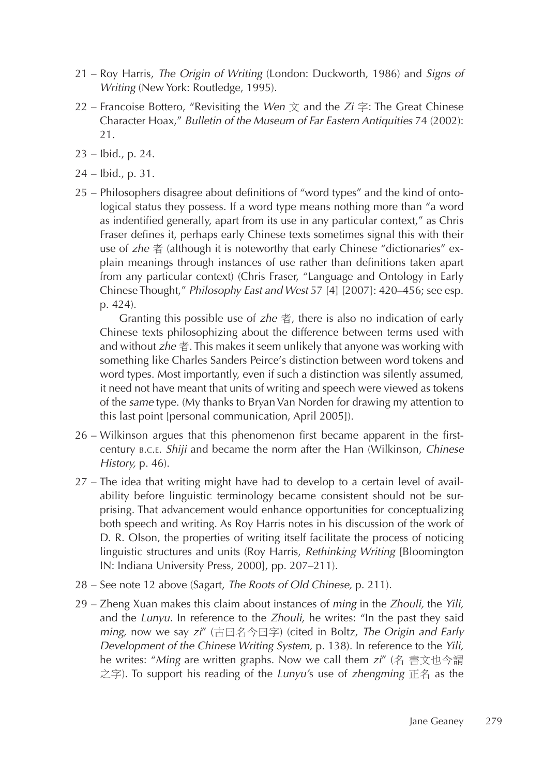- 21 Roy Harris, The Origin of Writing (London: Duckworth, 1986) and Signs of Writing (New York: Routledge, 1995).
- 22 Francoise Bottero, "Revisiting the Wen  $\overline{x}$  and the Zi  $\overline{\overline{z}}$ : The Great Chinese Character Hoax," Bulletin of the Museum of Far Eastern Antiquities 74 (2002): 21.
- 23 Ibid., p. 24.
- 24 Ibid., p. 31.
- 25 Philosophers disagree about definitions of "word types" and the kind of ontological status they possess. If a word type means nothing more than "a word as indentified generally, apart from its use in any particular context," as Chris Fraser defines it, perhaps early Chinese texts sometimes signal this with their use of zhe 者 (although it is noteworthy that early Chinese "dictionaries" explain meanings through instances of use rather than definitions taken apart from any particular context) (Chris Fraser, "Language and Ontology in Early Chinese Thought," Philosophy East and West 57 [4] [2007]: 420–456; see esp. p. 424).

Granting this possible use of zhe  $\ddot{\tilde{\tau}}$ , there is also no indication of early Chinese texts philosophizing about the difference between terms used with and without zhe  $\ddot{\tilde{\mathbf{z}}}$ . This makes it seem unlikely that anyone was working with something like Charles Sanders Peirce's distinction between word tokens and word types. Most importantly, even if such a distinction was silently assumed, it need not have meant that units of writing and speech were viewed as tokens of the same type. (My thanks to Bryan Van Norden for drawing my attention to this last point [personal communication, April 2005]).

- 26 Wilkinson argues that this phenomenon first became apparent in the firstcentury B.C.E. Shiji and became the norm after the Han (Wilkinson, Chinese History, p. 46).
- 27 The idea that writing might have had to develop to a certain level of availability before linguistic terminology became consistent should not be surprising. That advancement would enhance opportunities for conceptualizing both speech and writing. As Roy Harris notes in his discussion of the work of D. R. Olson, the properties of writing itself facilitate the process of noticing linguistic structures and units (Roy Harris, Rethinking Writing [Bloomington IN: Indiana University Press, 2000], pp. 207–211).
- 28 See note 12 above (Sagart, The Roots of Old Chinese, p. 211).
- 29 Zheng Xuan makes this claim about instances of ming in the Zhouli, the Yili, and the Lunyu. In reference to the Zhouli, he writes: "In the past they said  $\text{ming, now we say } \text{zi}''$  (古日名今日字) (cited in Boltz, The Origin and Early Development of the Chinese Writing System, p. 138). In reference to the Yili, he writes: "Ming are written graphs. Now we call them zi" (名 書文也今謂 之字). To support his reading of the Lunyu's use of zhengming 正名 as the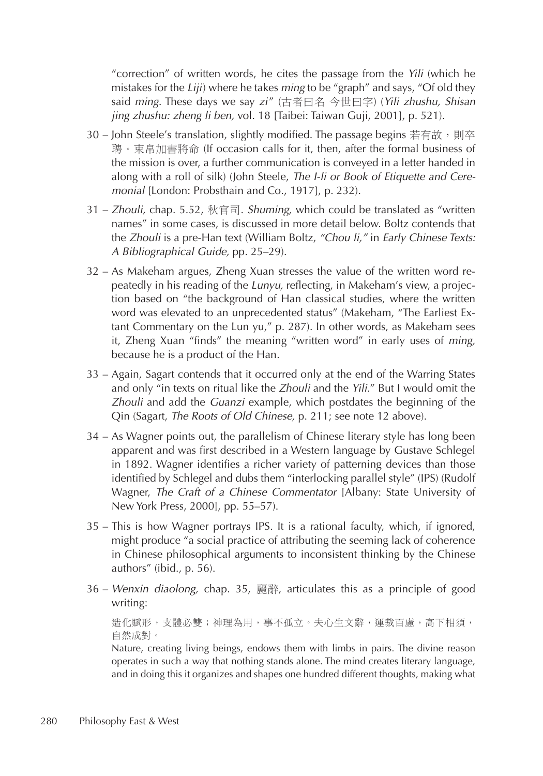"correction" of written words, he cites the passage from the Yili (which he mistakes for the Liji) where he takes ming to be "graph" and says, "Of old they said ming. These days we say zi" (古者曰名 今世曰字) (Yili zhushu, Shisan jing zhushu: zheng li ben, vol. 18 [Taibei: Taiwan Guji, 2001], p. 521).

- 30 John Steele's translation, slightly modified. The passage begins 若有故,則卒 聘。束帛加書將命 (If occasion calls for it, then, after the formal business of the mission is over, a further communication is conveyed in a letter handed in along with a roll of silk) (John Steele, The I-li or Book of Etiquette and Ceremonial [London: Probsthain and Co., 1917], p. 232).
- 31 Zhouli, chap. 5.52, 秋官司. Shuming, which could be translated as "written names" in some cases, is discussed in more detail below. Boltz contends that the Zhouli is a pre-Han text (William Boltz, "Chou li," in Early Chinese Texts: A Bibliographical Guide, pp. 25–29).
- 32 As Makeham argues, Zheng Xuan stresses the value of the written word repeatedly in his reading of the Lunyu, reflecting, in Makeham's view, a projection based on "the background of Han classical studies, where the written word was elevated to an unprecedented status" (Makeham, "The Earliest Extant Commentary on the Lun yu," p. 287). In other words, as Makeham sees it, Zheng Xuan "finds" the meaning "written word" in early uses of ming, because he is a product of the Han.
- 33 Again, Sagart contends that it occurred only at the end of the Warring States and only "in texts on ritual like the Zhouli and the Yili." But I would omit the Zhouli and add the Guanzi example, which postdates the beginning of the Qin (Sagart, The Roots of Old Chinese, p. 211; see note 12 above).
- 34 As Wagner points out, the parallelism of Chinese literary style has long been apparent and was first described in a Western language by Gustave Schlegel in 1892. Wagner identifies a richer variety of patterning devices than those identified by Schlegel and dubs them "interlocking parallel style" (IPS) (Rudolf Wagner, The Craft of a Chinese Commentator [Albany: State University of New York Press, 2000], pp. 55–57).
- 35 This is how Wagner portrays IPS. It is a rational faculty, which, if ignored, might produce "a social practice of attributing the seeming lack of coherence in Chinese philosophical arguments to inconsistent thinking by the Chinese authors" (ibid., p. 56).
- 36 Wenxin diaolong, chap. 35, 麗辭, articulates this as a principle of good writing:

造化賦形,支體必雙;神理為用,事不孤立。夫心生文辭,運裁百慮,高下相須, 自然成對。

Nature, creating living beings, endows them with limbs in pairs. The divine reason operates in such a way that nothing stands alone. The mind creates literary language, and in doing this it organizes and shapes one hundred different thoughts, making what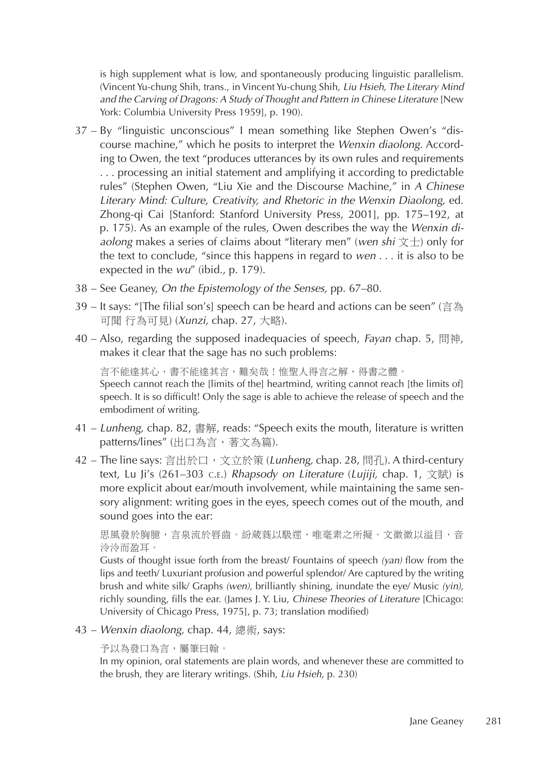is high supplement what is low, and spontaneously producing linguistic parallelism. (Vincent Yu-chung Shih, trans., in Vincent Yu-chung Shih, Liu Hsieh, The Literary Mind and the Carving of Dragons: A Study of Thought and Pattern in Chinese Literature [New York: Columbia University Press 1959], p. 190).

- 37 By "linguistic unconscious" I mean something like Stephen Owen's "discourse machine," which he posits to interpret the Wenxin diaolong. According to Owen, the text "produces utterances by its own rules and requirements . . . processing an initial statement and amplifying it according to predictable rules" (Stephen Owen, "Liu Xie and the Discourse Machine," in A Chinese Literary Mind: Culture, Creativity, and Rhetoric in the Wenxin Diaolong, ed. Zhong-qi Cai [Stanford: Stanford University Press, 2001], pp. 175–192, at p. 175). As an example of the rules, Owen describes the way the Wenxin diaolong makes a series of claims about "literary men" (wen shi  $\chi$ +) only for the text to conclude, "since this happens in regard to wen  $\dots$  it is also to be expected in the wu" (ibid., p. 179).
- 38 See Geaney, On the Epistemology of the Senses, pp. 67–80.
- 39 It says: "[The filial son's] speech can be heard and actions can be seen" (言為 可聞 行為可見) (Xunzi, chap. 27, 大略).
- 40 Also, regarding the supposed inadequacies of speech, Fayan chap. 5, 問神, makes it clear that the sage has no such problems:

言不能達其心,書不能達其言,難矣哉!惟聖人得言之解,得書之體。 Speech cannot reach the [limits of the] heartmind, writing cannot reach [the limits of] speech. It is so difficult! Only the sage is able to achieve the release of speech and the embodiment of writing.

- 41 Lunheng, chap. 82, 書解, reads: "Speech exits the mouth, literature is written patterns/lines" (出口為言,著文為篇).
- 42 The line says: 言出於口, 文立於策 (Lunheng, chap. 28, 問孔). A third-century text, Lu Ji's (261–303 c.E.) Rhapsody on Literature (Lujiji, chap. 1, 文賦) is more explicit about ear/mouth involvement, while maintaining the same sensory alignment: writing goes in the eyes, speech comes out of the mouth, and sound goes into the ear:

```
思風發於胸臆,言泉流於唇齒。紛葳蕤以馺遝,唯毫素之所擬。文徽徽以溢目,音
泠泠而盈耳。
```
Gusts of thought issue forth from the breast/ Fountains of speech (yan) flow from the lips and teeth/ Luxuriant profusion and powerful splendor/ Are captured by the writing brush and white silk/ Graphs (wen), brilliantly shining, inundate the eye/ Music ( $y$ in), richly sounding, fills the ear. (James J. Y. Liu, Chinese Theories of Literature [Chicago: University of Chicago Press, 1975], p. 73; translation modified)

43 – Wenxin diaolong, chap. 44, 總術, says:

#### 予以為發口為言,屬筆曰翰。

In my opinion, oral statements are plain words, and whenever these are committed to the brush, they are literary writings. (Shih, Liu Hsieh, p. 230)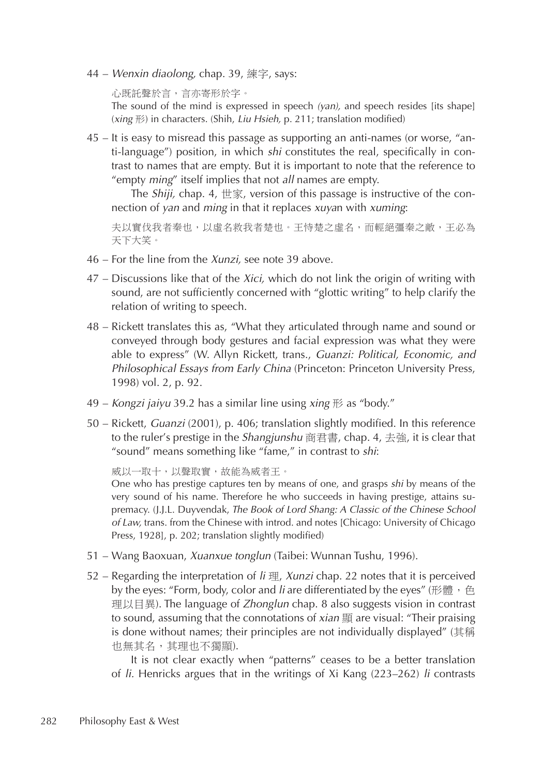44 – Wenxin diaolong, chap. 39, 練字, says:

心既託聲於言,言亦寄形於字。

The sound of the mind is expressed in speech  $(van)$ , and speech resides [its shape]  $(xing \#)$  in characters. (Shih, Liu Hsieh, p. 211; translation modified)

 45 – It is easy to misread this passage as supporting an anti-names (or worse, "anti-language") position, in which shi constitutes the real, specifically in contrast to names that are empty. But it is important to note that the reference to "empty *ming*" itself implies that not *all* names are empty.

The *Shiji*, chap. 4, 世家, version of this passage is instructive of the connection of yan and ming in that it replaces xuyan with xuming:

夫以實伐我者秦也,以虛名救我者楚也。王恃楚之虛名,而輕絕彊秦之敵,王必為 天下大笑。

- $46$  For the line from the *Xunzi*, see note 39 above.
- 47 Discussions like that of the Xici, which do not link the origin of writing with sound, are not sufficiently concerned with "glottic writing" to help clarify the relation of writing to speech.
- 48 Rickett translates this as, "What they articulated through name and sound or conveyed through body gestures and facial expression was what they were able to express" (W. Allyn Rickett, trans., Guanzi: Political, Economic, and Philosophical Essays from Early China (Princeton: Princeton University Press, 1998) vol. 2, p. 92.
- 49 Kongzi jaiyu 39.2 has a similar line using xing  $E$  as "body."
- 50 Rickett, Guanzi (2001), p. 406; translation slightly modified. In this reference to the ruler's prestige in the *Shangjunshu* 商君書, chap. 4, 去強, it is clear that "sound" means something like "fame," in contrast to shi:

威以一取十,以聲取實,故能為威者王。

One who has prestige captures ten by means of one, and grasps shi by means of the very sound of his name. Therefore he who succeeds in having prestige, attains supremacy. (J.J.L. Duyvendak, The Book of Lord Shang: A Classic of the Chinese School of Law, trans. from the Chinese with introd. and notes [Chicago: University of Chicago Press, 1928], p. 202; translation slightly modified)

- 51 Wang Baoxuan, Xuanxue tonglun (Taibei: Wunnan Tushu, 1996).
- 52 Regarding the interpretation of  $\hat{h}$   $\hat{H}$ , Xunzi chap. 22 notes that it is perceived by the eyes: "Form, body, color and li are differentiated by the eyes" (形體, 色 理以目異). The language of Zhonglun chap. 8 also suggests vision in contrast to sound, assuming that the connotations of *xian* 顯 are visual: "Their praising is done without names; their principles are not individually displayed" (其稱 也無其名,其理也不獨顯).

It is not clear exactly when "patterns" ceases to be a better translation of li. Henricks argues that in the writings of Xi Kang (223–262) li contrasts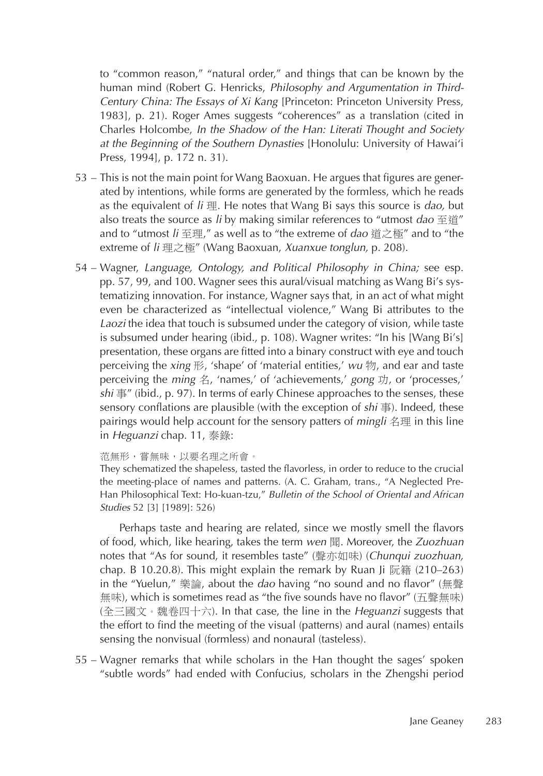to "common reason," "natural order," and things that can be known by the human mind (Robert G. Henricks, Philosophy and Argumentation in Third-Century China: The Essays of Xi Kang [Princeton: Princeton University Press, 1983], p. 21). Roger Ames suggests "coherences" as a translation (cited in Charles Holcombe, In the Shadow of the Han: Literati Thought and Society at the Beginning of the Southern Dynasties [Honolulu: University of Hawai'i Press, 1994], p. 172 n. 31).

- 53 This is not the main point for Wang Baoxuan. He argues that figures are generated by intentions, while forms are generated by the formless, which he reads as the equivalent of  $\ddot{\textit{li}}$  #. He notes that Wang Bi says this source is *dao*, but also treats the source as *li* by making similar references to "utmost  $dao \ncong \ncong \ncong$ " and to "utmost li 至理," as well as to "the extreme of dao 道之極" and to "the extreme of li 理之極" (Wang Baoxuan, Xuanxue tonglun, p. 208).
- 54 Wagner, Language, Ontology, and Political Philosophy in China; see esp. pp. 57, 99, and 100. Wagner sees this aural/visual matching as Wang Bi's systematizing innovation. For instance, Wagner says that, in an act of what might even be characterized as "intellectual violence," Wang Bi attributes to the Laozi the idea that touch is subsumed under the category of vision, while taste is subsumed under hearing (ibid., p. 108). Wagner writes: "In his [Wang Bi's] presentation, these organs are fitted into a binary construct with eye and touch perceiving the *xing* 形, 'shape' of 'material entities,'  $wu$  物, and ear and taste perceiving the ming 名, 'names,' of 'achievements,' gong 功, or 'processes,' shi 事" (ibid., p. 97). In terms of early Chinese approaches to the senses, these sensory conflations are plausible (with the exception of  $\sin \frac{\pi}{2}$ ). Indeed, these pairings would help account for the sensory patters of *mingli* 名理 in this line in Heguanzi chap. 11, 泰錄:

范無形,嘗無味,以要名理之所會。

They schematized the shapeless, tasted the flavorless, in order to reduce to the crucial the meeting-place of names and patterns. (A. C. Graham, trans., "A Neglected Pre-Han Philosophical Text: Ho-kuan-tzu," Bulletin of the School of Oriental and African Studies 52 [3] [1989]: 526)

Perhaps taste and hearing are related, since we mostly smell the flavors of food, which, like hearing, takes the term wen 聞. Moreover, the Zuozhuan notes that "As for sound, it resembles taste" (聲亦如味) (Chunqui zuozhuan, chap. B 10.20.8). This might explain the remark by Ruan Ji 阮籍 (210–263) in the "Yuelun," 樂論, about the dao having "no sound and no flavor" (無聲 無味), which is sometimes read as "the five sounds have no flavor" (五聲無味) (全三國文。魏卷四十六). In that case, the line in the Heguanzi suggests that the effort to find the meeting of the visual (patterns) and aural (names) entails sensing the nonvisual (formless) and nonaural (tasteless).

 55 – Wagner remarks that while scholars in the Han thought the sages' spoken "subtle words" had ended with Confucius, scholars in the Zhengshi period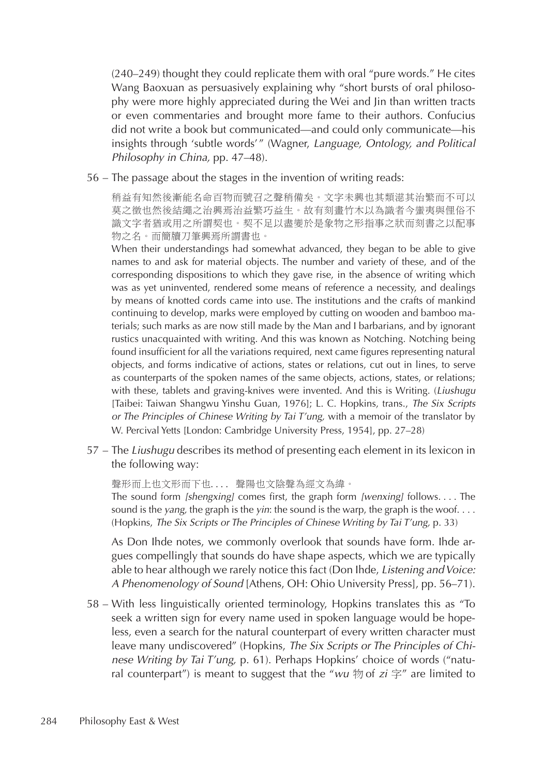(240–249) thought they could replicate them with oral "pure words." He cites Wang Baoxuan as persuasively explaining why "short bursts of oral philosophy were more highly appreciated during the Wei and Jin than written tracts or even commentaries and brought more fame to their authors. Confucius did not write a book but communicated—and could only communicate—his insights through 'subtle words'" (Wagner, Language, Ontology, and Political Philosophy in China, pp. 47–48).

56 – The passage about the stages in the invention of writing reads:

稍益有知然後漸能名命百物而號召之聲稍備矣。文字未興也其類濨其治繁而不可以 莫之徵也然後結繩之治興焉治益繁巧益生。故有刻畫竹木以為識者今蠻夷與俚俗不 識文字者猶或用之所謂契也。契不足以盡變於是象物之形指事之狀而刻書之以配事 物之名。而簡牘刀筆興焉所謂書也。

When their understandings had somewhat advanced, they began to be able to give names to and ask for material objects. The number and variety of these, and of the corresponding dispositions to which they gave rise, in the absence of writing which was as yet uninvented, rendered some means of reference a necessity, and dealings by means of knotted cords came into use. The institutions and the crafts of mankind continuing to develop, marks were employed by cutting on wooden and bamboo materials; such marks as are now still made by the Man and I barbarians, and by ignorant rustics unacquainted with writing. And this was known as Notching. Notching being found insufficient for all the variations required, next came figures representing natural objects, and forms indicative of actions, states or relations, cut out in lines, to serve as counterparts of the spoken names of the same objects, actions, states, or relations; with these, tablets and graving-knives were invented. And this is Writing. *(Liushugu*) [Taibei: Taiwan Shangwu Yinshu Guan, 1976]; L. C. Hopkins, trans., The Six Scripts or The Principles of Chinese Writing by Tai T'ung, with a memoir of the translator by W. Percival Yetts [London: Cambridge University Press, 1954], pp. 27–28)

 57 – The Liushugu describes its method of presenting each element in its lexicon in the following way:

聲形而上也文形而下也.... 聲陽也文陰聲為經文為緯。 The sound form [shengxing] comes first, the graph form [wenxing] follows.... The sound is the yang, the graph is the yin: the sound is the warp, the graph is the woof.  $\dots$ (Hopkins, The Six Scripts or The Principles of Chinese Writing by Tai T'ung, p. 33)

As Don Ihde notes, we commonly overlook that sounds have form. Ihde argues compellingly that sounds do have shape aspects, which we are typically able to hear although we rarely notice this fact (Don Ihde, Listening and Voice: A Phenomenology of Sound [Athens, OH: Ohio University Press], pp. 56–71).

 58 – With less linguistically oriented terminology, Hopkins translates this as "To seek a written sign for every name used in spoken language would be hopeless, even a search for the natural counterpart of every written character must leave many undiscovered" (Hopkins, The Six Scripts or The Principles of Chinese Writing by Tai T'ung, p. 61). Perhaps Hopkins' choice of words ("natural counterpart") is meant to suggest that the "wu  $\hat{w}$  of  $zi \hat{\Xi}$ " are limited to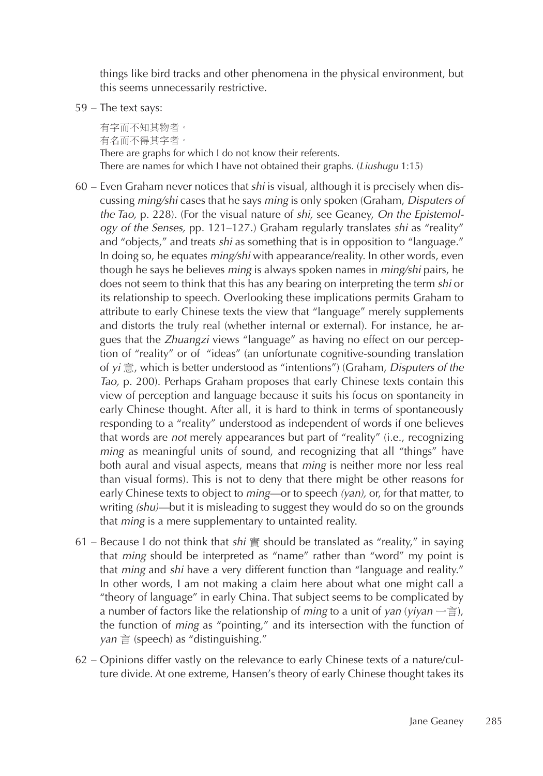things like bird tracks and other phenomena in the physical environment, but this seems unnecessarily restrictive.

59 – The text says:

有字而不知其物者。 有名而不得其字者。 There are graphs for which I do not know their referents. There are names for which I have not obtained their graphs. (Liushugu 1:15)

- 60 Even Graham never notices that shi is visual, although it is precisely when discussing ming/shi cases that he says ming is only spoken (Graham, Disputers of the Tao, p. 228). (For the visual nature of shi, see Geaney, On the Epistemology of the Senses, pp. 121–127.) Graham regularly translates shi as "reality" and "objects," and treats shi as something that is in opposition to "language." In doing so, he equates ming/shi with appearance/reality. In other words, even though he says he believes ming is always spoken names in ming/shi pairs, he does not seem to think that this has any bearing on interpreting the term shi or its relationship to speech. Overlooking these implications permits Graham to attribute to early Chinese texts the view that "language" merely supplements and distorts the truly real (whether internal or external). For instance, he argues that the Zhuangzi views "language" as having no effect on our perception of "reality" or of "ideas" (an unfortunate cognitive-sounding translation of yi 意, which is better understood as "intentions") (Graham, Disputers of the Tao, p. 200). Perhaps Graham proposes that early Chinese texts contain this view of perception and language because it suits his focus on spontaneity in early Chinese thought. After all, it is hard to think in terms of spontaneously responding to a "reality" understood as independent of words if one believes that words are not merely appearances but part of "reality" (i.e., recognizing ming as meaningful units of sound, and recognizing that all "things" have both aural and visual aspects, means that *ming* is neither more nor less real than visual forms). This is not to deny that there might be other reasons for early Chinese texts to object to *ming*—or to speech (yan), or, for that matter, to writing (shu)—but it is misleading to suggest they would do so on the grounds that *ming* is a mere supplementary to untainted reality.
- 61 Because I do not think that *shi*  $\frac{2}{3}$  should be translated as "reality," in saying that ming should be interpreted as "name" rather than "word" my point is that ming and shi have a very different function than "language and reality." In other words, I am not making a claim here about what one might call a "theory of language" in early China. That subject seems to be complicated by a number of factors like the relationship of *ming* to a unit of yan (yiyan  $-\tilde{\equiv}$ ), the function of ming as "pointing," and its intersection with the function of  $\gamma$ an  $\equiv$  (speech) as "distinguishing."
- 62 Opinions differ vastly on the relevance to early Chinese texts of a nature/culture divide. At one extreme, Hansen's theory of early Chinese thought takes its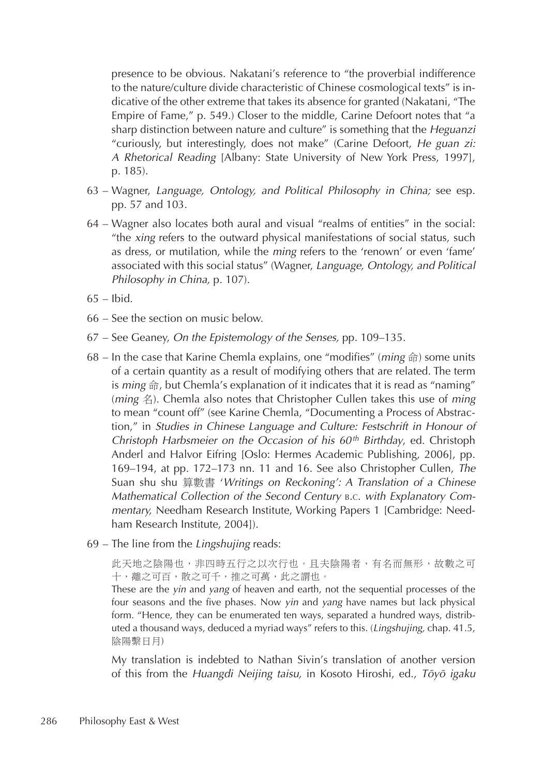presence to be obvious. Nakatani's reference to "the proverbial indifference to the nature/culture divide characteristic of Chinese cosmological texts" is indicative of the other extreme that takes its absence for granted (Nakatani, "The Empire of Fame," p. 549.) Closer to the middle, Carine Defoort notes that "a sharp distinction between nature and culture" is something that the Heguanzi "curiously, but interestingly, does not make" (Carine Defoort, He guan zi: A Rhetorical Reading [Albany: State University of New York Press, 1997], p. 185).

- 63 Wagner, Language, Ontology, and Political Philosophy in China; see esp. pp. 57 and 103.
- 64 Wagner also locates both aural and visual "realms of entities" in the social: "the xing refers to the outward physical manifestations of social status, such as dress, or mutilation, while the ming refers to the 'renown' or even 'fame' associated with this social status" (Wagner, Language, Ontology, and Political Philosophy in China, p. 107).
- 65 Ibid.
- 66 See the section on music below.
- 67 See Geaney, On the Epistemology of the Senses, pp. 109–135.
- 68 In the case that Karine Chemla explains, one "modifies" (ming  $\hat{m}$ ) some units of a certain quantity as a result of modifying others that are related. The term is ming 命, but Chemla's explanation of it indicates that it is read as "naming" ( $ming$   $\&$ ). Chemla also notes that Christopher Cullen takes this use of  $ming$ to mean "count off" (see Karine Chemla, "Documenting a Process of Abstraction," in Studies in Chinese Language and Culture: Festschrift in Honour of Christoph Harbsmeier on the Occasion of his  $60<sup>th</sup>$  Birthday, ed. Christoph Anderl and Halvor Eifring [Oslo: Hermes Academic Publishing, 2006], pp. 169–194, at pp. 172–173 nn. 11 and 16. See also Christopher Cullen, The Suan shu shu 算數書 'Writings on Reckoning': A Translation of a Chinese Mathematical Collection of the Second Century B.C. with Explanatory Commentary, Needham Research Institute, Working Papers 1 [Cambridge: Needham Research Institute, 2004]).
- 69 The line from the Lingshujing reads:

此天地之陰陽也,非四時五行之以次行也。且夫陰陽者,有名而無形,故數之可 十,離之可百,散之可千,推之可萬,此之謂也。

These are the yin and yang of heaven and earth, not the sequential processes of the four seasons and the five phases. Now *yin* and *yang* have names but lack physical form. "Hence, they can be enumerated ten ways, separated a hundred ways, distributed a thousand ways, deduced a myriad ways" refers to this. (Lingshujing, chap. 41.5, 陰陽繫日月)

My translation is indebted to Nathan Sivin's translation of another version of this from the Huangdi Neijing taisu, in Kosoto Hiroshi, ed., Tōyō igaku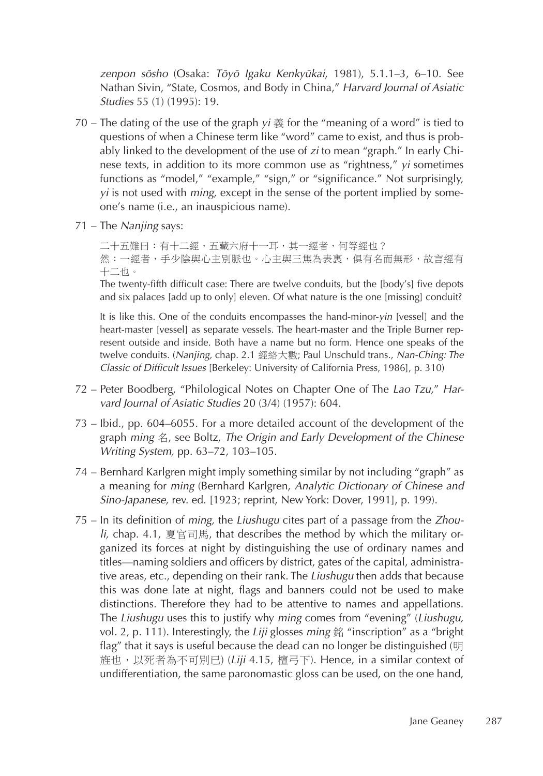zenpon sōsho (Osaka: Tōyō Igaku Kenkyūkai, 1981), 5.1.1–3, 6–10. See Nathan Sivin, "State, Cosmos, and Body in China," Harvard Journal of Asiatic Studies 55 (1) (1995): 19.

- 70 The dating of the use of the graph  $yi$  義 for the "meaning of a word" is tied to questions of when a Chinese term like "word" came to exist, and thus is probably linked to the development of the use of zi to mean "graph." In early Chinese texts, in addition to its more common use as "rightness," yi sometimes functions as "model," "example," "sign," or "significance." Not surprisingly, yi is not used with ming, except in the sense of the portent implied by someone's name (i.e., an inauspicious name).
- 71 The Nanjing says:

```
二十五難曰:有十二經,五藏六府十一耳,其一經者,何等經也?
然:一經者,手少陰與心主別脈也。心主與三焦為表裏,俱有名而無形,故言經有
十二也。
```
The twenty-fifth difficult case: There are twelve conduits, but the [body's] five depots and six palaces [add up to only] eleven. Of what nature is the one [missing] conduit?

It is like this. One of the conduits encompasses the hand-minor-yin [vessel] and the heart-master [vessel] as separate vessels. The heart-master and the Triple Burner represent outside and inside. Both have a name but no form. Hence one speaks of the twelve conduits. (Nanjing, chap. 2.1 經絡大數; Paul Unschuld trans., Nan-Ching: The Classic of Difficult Issues [Berkeley: University of California Press, 1986], p. 310)

- 72 Peter Boodberg, "Philological Notes on Chapter One of The Lao Tzu," Harvard Journal of Asiatic Studies 20 (3/4) (1957): 604.
- 73 Ibid., pp. 604–6055. For a more detailed account of the development of the graph ming 名, see Boltz, The Origin and Early Development of the Chinese Writing System, pp. 63–72, 103–105.
- 74 Bernhard Karlgren might imply something similar by not including "graph" as a meaning for ming (Bernhard Karlgren, Analytic Dictionary of Chinese and Sino-Japanese, rev. ed. [1923; reprint, New York: Dover, 1991], p. 199).
- 75 In its definition of ming, the Liushugu cites part of a passage from the Zhouli, chap. 4.1, 夏官司馬, that describes the method by which the military organized its forces at night by distinguishing the use of ordinary names and titles—naming soldiers and officers by district, gates of the capital, administrative areas, etc., depending on their rank. The Liushugu then adds that because this was done late at night, flags and banners could not be used to make distinctions. Therefore they had to be attentive to names and appellations. The Liushugu uses this to justify why ming comes from "evening" (Liushugu, vol. 2, p. 111). Interestingly, the *Liji* glosses *ming* 銘 "inscription" as a "bright flag" that it says is useful because the dead can no longer be distinguished (明 旌也,以死者為不可別已) (Liji 4.15, 檀弓下). Hence, in a similar context of undifferentiation, the same paronomastic gloss can be used, on the one hand,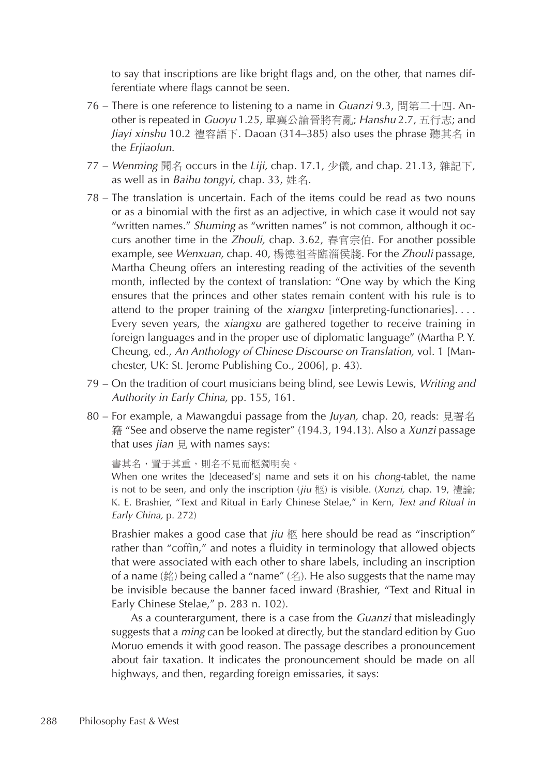to say that inscriptions are like bright flags and, on the other, that names differentiate where flags cannot be seen.

- 76 There is one reference to listening to a name in *Guanzi* 9.3, 問第二十四. Another is repeated in Guoyu 1.25, 單襄公論晉將有亂; Hanshu 2.7, 五行志; and Jiayi xinshu 10.2 禮容語下. Daoan (314–385) also uses the phrase 聽其名 in the Erjiaolun.
- 77 Wenming 聞名 occurs in the Liji, chap. 17.1, 少儀, and chap. 21.13, 雜記下, as well as in Baihu tongyi, chap. 33, 姓名.
- 78 The translation is uncertain. Each of the items could be read as two nouns or as a binomial with the first as an adjective, in which case it would not say "written names." Shuming as "written names" is not common, although it occurs another time in the Zhouli, chap. 3.62, 春官宗伯. For another possible example, see Wenxuan, chap. 40, 楊德祖荅臨淄侯牋. For the Zhouli passage, Martha Cheung offers an interesting reading of the activities of the seventh month, inflected by the context of translation: "One way by which the King ensures that the princes and other states remain content with his rule is to attend to the proper training of the *xiangxu* [interpreting-functionaries].... Every seven years, the xiangxu are gathered together to receive training in foreign languages and in the proper use of diplomatic language" (Martha P. Y. Cheung, ed., An Anthology of Chinese Discourse on Translation, vol. 1 [Manchester, UK: St. Jerome Publishing Co., 2006], p. 43).
- 79 On the tradition of court musicians being blind, see Lewis Lewis, Writing and Authority in Early China, pp. 155, 161.
- 80 For example, a Mawangdui passage from the *Juyan*, chap. 20, reads: 見署名 籍 "See and observe the name register" (194.3, 194.13). Also a Xunzi passage that uses *jian* 見 with names says:

書其名,置于其重,則名不見而柩獨明矣。

When one writes the [deceased's] name and sets it on his *chong*-tablet, the name is not to be seen, and only the inscription ( $jiu$  柩) is visible. (Xunzi, chap. 19, 禮論; K. E. Brashier, "Text and Ritual in Early Chinese Stelae," in Kern, Text and Ritual in Early China, p. 272)

Brashier makes a good case that  $jiu \not\mathbb{E}$  here should be read as "inscription" rather than "coffin," and notes a fluidity in terminology that allowed objects that were associated with each other to share labels, including an inscription of a name (銘) being called a "name" (名). He also suggests that the name may be invisible because the banner faced inward (Brashier, "Text and Ritual in Early Chinese Stelae," p. 283 n. 102).

As a counterargument, there is a case from the *Guanzi* that misleadingly suggests that a *ming* can be looked at directly, but the standard edition by Guo Moruo emends it with good reason. The passage describes a pronouncement about fair taxation. It indicates the pronouncement should be made on all highways, and then, regarding foreign emissaries, it says: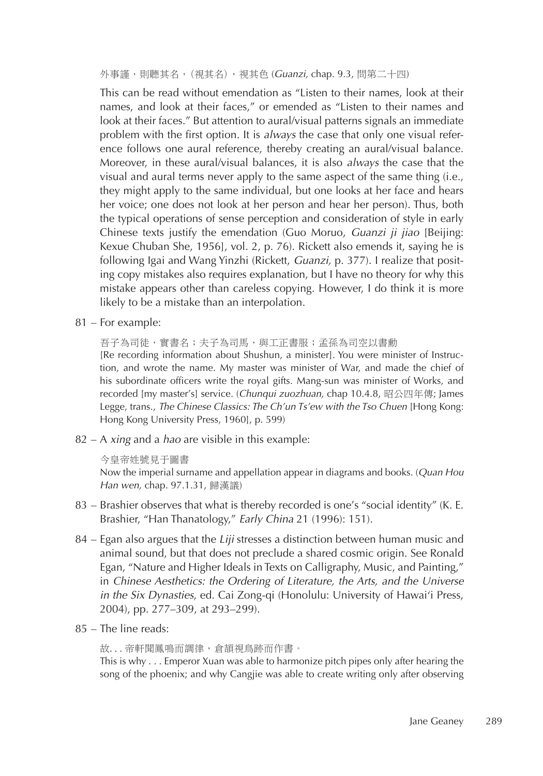外事謹,則聽其名, (視其名), 視其色 (Guanzi, chap. 9.3, 問第二十四)

This can be read without emendation as "Listen to their names, look at their names, and look at their faces," or emended as "Listen to their names and look at their faces." But attention to aural/visual patterns signals an immediate problem with the first option. It is always the case that only one visual reference follows one aural reference, thereby creating an aural/visual balance. Moreover, in these aural/visual balances, it is also always the case that the visual and aural terms never apply to the same aspect of the same thing (i.e., they might apply to the same individual, but one looks at her face and hears her voice; one does not look at her person and hear her person). Thus, both the typical operations of sense perception and consideration of style in early Chinese texts justify the emendation (Guo Moruo, Guanzi ji jiao [Beijing: Kexue Chuban She, 1956], vol. 2, p. 76). Rickett also emends it, saying he is following Igai and Wang Yinzhi (Rickett, Guanzi, p. 377). I realize that positing copy mistakes also requires explanation, but I have no theory for why this mistake appears other than careless copying. However, I do think it is more likely to be a mistake than an interpolation.

81 – For example:

吾子為司徒,實書名;夫子為司馬,與工正書服;孟孫為司空以書勳

[Re recording information about Shushun, a minister]. You were minister of Instruction, and wrote the name. My master was minister of War, and made the chief of his subordinate officers write the royal gifts. Mang-sun was minister of Works, and recorded [my master's] service. (Chunqui zuozhuan, chap 10.4.8, 昭公四年傳; James Legge, trans., The Chinese Classics: The Ch'un Ts'ew with the Tso Chuen [Hong Kong: Hong Kong University Press, 1960], p. 599)

82 – A xing and a hao are visible in this example:

#### 今皇帝姓號見于圖書

Now the imperial surname and appellation appear in diagrams and books. (Quan Hou Han wen, chap. 97.1.31, 歸漢議)

- 83 Brashier observes that what is thereby recorded is one's "social identity" (K. E. Brashier, "Han Thanatology," Early China 21 (1996): 151).
- $84$  Egan also argues that the *Liji* stresses a distinction between human music and animal sound, but that does not preclude a shared cosmic origin. See Ronald Egan, "Nature and Higher Ideals in Texts on Calligraphy, Music, and Painting," in Chinese Aesthetics: the Ordering of Literature, the Arts, and the Universe in the Six Dynasties, ed. Cai Zong-qi (Honolulu: University of Hawai'i Press, 2004), pp. 277–309, at 293–299).
- 85 The line reads:

故...帝軒聞鳳鳴而調律,倉頡視鳥跡而作書。

This is why . . . Emperor Xuan was able to harmonize pitch pipes only after hearing the song of the phoenix; and why Cangjie was able to create writing only after observing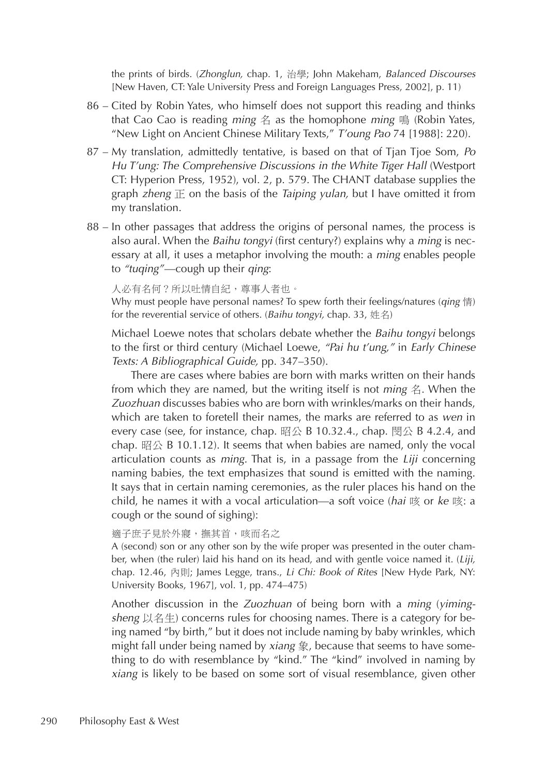the prints of birds. (Zhonglun, chap. 1, 治學; John Makeham, Balanced Discourses [New Haven, CT: Yale University Press and Foreign Languages Press, 2002], p. 11)

- 86 Cited by Robin Yates, who himself does not support this reading and thinks that Cao Cao is reading ming  $\&$  as the homophone ming  $\mathfrak{m}$  (Robin Yates, "New Light on Ancient Chinese Military Texts," T'oung Pao 74 [1988]: 220).
- 87 My translation, admittedly tentative, is based on that of Tjan Tjoe Som, Po Hu T'ung: The Comprehensive Discussions in the White Tiger Hall (Westport CT: Hyperion Press, 1952), vol. 2, p. 579. The CHANT database supplies the graph zheng  $E$  on the basis of the Taiping yulan, but I have omitted it from my translation.
- 88 In other passages that address the origins of personal names, the process is also aural. When the Baihu tongyi (first century?) explains why a ming is necessary at all, it uses a metaphor involving the mouth: a ming enables people to "tuqing"—cough up their qing:

#### 人必有名何?所以吐情自紀,尊事人者也。

Why must people have personal names? To spew forth their feelings/natures (qing 情) for the reverential service of others. (Baihu tongyi, chap. 33, 姓名)

Michael Loewe notes that scholars debate whether the Baihu tongyi belongs to the first or third century (Michael Loewe, "Pai hu t'ung," in Early Chinese Texts: A Bibliographical Guide, pp. 347–350).

There are cases where babies are born with marks written on their hands from which they are named, but the writing itself is not *ming*  $\&$ . When the Zuozhuan discusses babies who are born with wrinkles/marks on their hands, which are taken to foretell their names, the marks are referred to as wen in every case (see, for instance, chap. 昭公 B 10.32.4., chap. 閔公 B 4.2.4, and chap. 昭公 B 10.1.12). It seems that when babies are named, only the vocal articulation counts as *ming*. That is, in a passage from the Liji concerning naming babies, the text emphasizes that sound is emitted with the naming. It says that in certain naming ceremonies, as the ruler places his hand on the child, he names it with a vocal articulation—a soft voice (hai 咳 or ke 咳: a cough or the sound of sighing):

#### 適子庶子見於外寢,撫其首,咳而名之

A (second) son or any other son by the wife proper was presented in the outer chamber, when (the ruler) laid his hand on its head, and with gentle voice named it. (Liji, chap. 12.46, 內則; James Legge, trans., Li Chi: Book of Rites [New Hyde Park, NY: University Books, 1967], vol. 1, pp. 474–475)

Another discussion in the Zuozhuan of being born with a ming (yimingsheng 以名生) concerns rules for choosing names. There is a category for being named "by birth," but it does not include naming by baby wrinkles, which might fall under being named by *xiang*  $\frac{1}{2}$ , because that seems to have something to do with resemblance by "kind." The "kind" involved in naming by xiang is likely to be based on some sort of visual resemblance, given other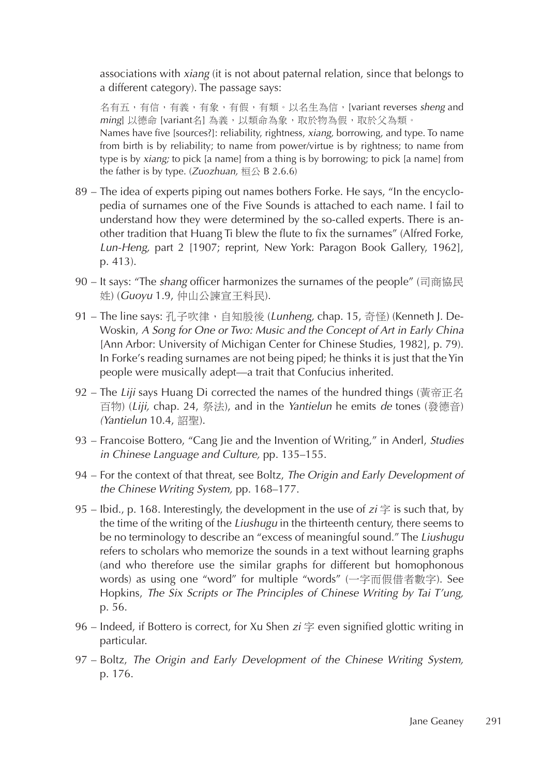associations with xiang (it is not about paternal relation, since that belongs to a different category). The passage says:

名有五,有信,有義,有象,有假,有類。以名生為信,[variant reverses sheng and ming] 以德命 [variant名] 為義, 以類命為象, 取於物為假, 取於父為類。 Names have five [sources?]: reliability, rightness, xiang, borrowing, and type. To name from birth is by reliability; to name from power/virtue is by rightness; to name from type is by xiang; to pick [a name] from a thing is by borrowing; to pick [a name] from the father is by type. (Zuozhuan, 桓公 B 2.6.6)

- 89 The idea of experts piping out names bothers Forke. He says, "In the encyclopedia of surnames one of the Five Sounds is attached to each name. I fail to understand how they were determined by the so-called experts. There is another tradition that Huang Ti blew the flute to fix the surnames" (Alfred Forke, Lun-Heng, part 2 [1907; reprint, New York: Paragon Book Gallery, 1962], p. 413).
- 90 It says: "The shang officer harmonizes the surnames of the people" (司商協民 姓) (Guoyu 1.9, 仲山公諫宣王料民).
- 91 The line says: 孔子吹律, 自知殷後 (Lunheng, chap. 15, 奇怪) (Kenneth J. De-Woskin, A Song for One or Two: Music and the Concept of Art in Early China [Ann Arbor: University of Michigan Center for Chinese Studies, 1982], p. 79). In Forke's reading surnames are not being piped; he thinks it is just that the Yin people were musically adept—a trait that Confucius inherited.
- 92 The Liji says Huang Di corrected the names of the hundred things (黃帝正名 百物) (Liji, chap. 24, 祭法), and in the Yantielun he emits de tones (發德音) (Yantielun 10.4, 詔聖).
- 93 Francoise Bottero, "Cang Jie and the Invention of Writing," in Anderl, Studies in Chinese Language and Culture, pp. 135–155.
- 94 For the context of that threat, see Boltz, The Origin and Early Development of the Chinese Writing System, pp. 168–177.
- 95 Ibid., p. 168. Interestingly, the development in the use of  $zi \oplus$  is such that, by the time of the writing of the Liushugu in the thirteenth century, there seems to be no terminology to describe an "excess of meaningful sound." The Liushugu refers to scholars who memorize the sounds in a text without learning graphs (and who therefore use the similar graphs for different but homophonous words) as using one "word" for multiple "words" (一字而假借者數字). See Hopkins, The Six Scripts or The Principles of Chinese Writing by Tai T'ung, p. 56.
- 96 Indeed, if Bottero is correct, for Xu Shen  $zi \ncong$  even signified glottic writing in particular.
- 97 Boltz, The Origin and Early Development of the Chinese Writing System, p. 176.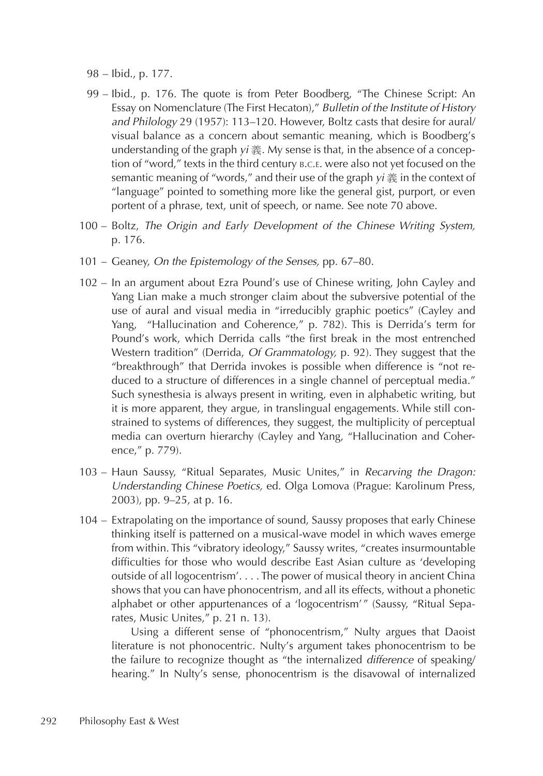- 98 Ibid., p. 177.
- 99 Ibid., p. 176. The quote is from Peter Boodberg, "The Chinese Script: An Essay on Nomenclature (The First Hecaton)," Bulletin of the Institute of History and Philology 29 (1957): 113–120. However, Boltz casts that desire for aural/ visual balance as a concern about semantic meaning, which is Boodberg's understanding of the graph  $yi$ 義. My sense is that, in the absence of a conception of "word," texts in the third century B.C.E. were also not yet focused on the semantic meaning of "words," and their use of the graph  $yi \frac{2}{56}$  in the context of "language" pointed to something more like the general gist, purport, or even portent of a phrase, text, unit of speech, or name. See note 70 above.
- 100 Boltz, The Origin and Early Development of the Chinese Writing System, p. 176.
- 101 Geaney, On the Epistemology of the Senses, pp. 67–80.
- 102 In an argument about Ezra Pound's use of Chinese writing, John Cayley and Yang Lian make a much stronger claim about the subversive potential of the use of aural and visual media in "irreducibly graphic poetics" (Cayley and Yang, "Hallucination and Coherence," p. 782). This is Derrida's term for Pound's work, which Derrida calls "the first break in the most entrenched Western tradition" (Derrida, Of Grammatology, p. 92). They suggest that the "breakthrough" that Derrida invokes is possible when difference is "not reduced to a structure of differences in a single channel of perceptual media." Such synesthesia is always present in writing, even in alphabetic writing, but it is more apparent, they argue, in translingual engagements. While still constrained to systems of differences, they suggest, the multiplicity of perceptual media can overturn hierarchy (Cayley and Yang, "Hallucination and Coherence," p. 779).
- 103 Haun Saussy, "Ritual Separates, Music Unites," in Recarving the Dragon: Understanding Chinese Poetics, ed. Olga Lomova (Prague: Karolinum Press, 2003), pp. 9–25, at p. 16.
- 104 Extrapolating on the importance of sound, Saussy proposes that early Chinese thinking itself is patterned on a musical-wave model in which waves emerge from within. This "vibratory ideology," Saussy writes, "creates insurmountable difficulties for those who would describe East Asian culture as 'developing outside of all logocentrism'. . . . The power of musical theory in ancient China shows that you can have phonocentrism, and all its effects, without a phonetic alphabet or other appurtenances of a 'logocentrism' " (Saussy, "Ritual Separates, Music Unites," p. 21 n. 13).

Using a different sense of "phonocentrism," Nulty argues that Daoist literature is not phonocentric. Nulty's argument takes phonocentrism to be the failure to recognize thought as "the internalized difference of speaking/ hearing." In Nulty's sense, phonocentrism is the disavowal of internalized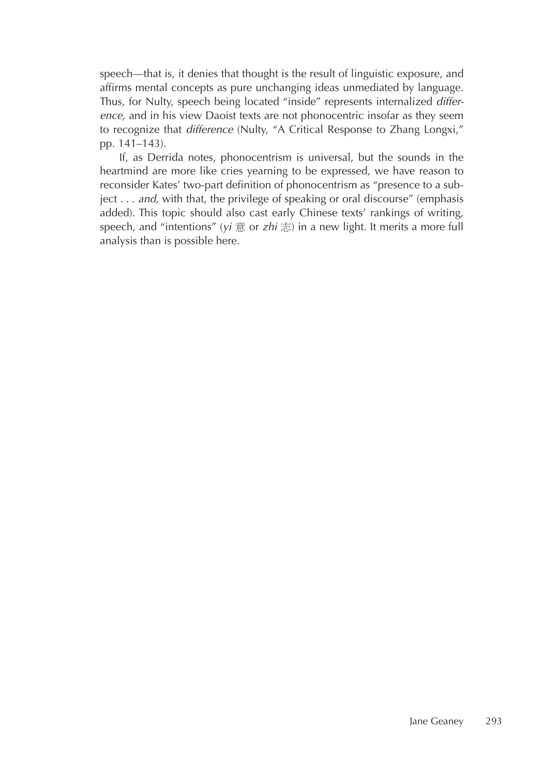speech—that is, it denies that thought is the result of linguistic exposure, and affirms mental concepts as pure unchanging ideas unmediated by language. Thus, for Nulty, speech being located "inside" represents internalized difference, and in his view Daoist texts are not phonocentric insofar as they seem to recognize that difference (Nulty, "A Critical Response to Zhang Longxi," pp. 141–143).

If, as Derrida notes, phonocentrism is universal, but the sounds in the heartmind are more like cries yearning to be expressed, we have reason to reconsider Kates' two-part definition of phonocentrism as "presence to a subject . . . and, with that, the privilege of speaking or oral discourse" (emphasis added). This topic should also cast early Chinese texts' rankings of writing, speech, and "intentions" ( $yi$ 意 or  $zhi$ 志) in a new light. It merits a more full analysis than is possible here.